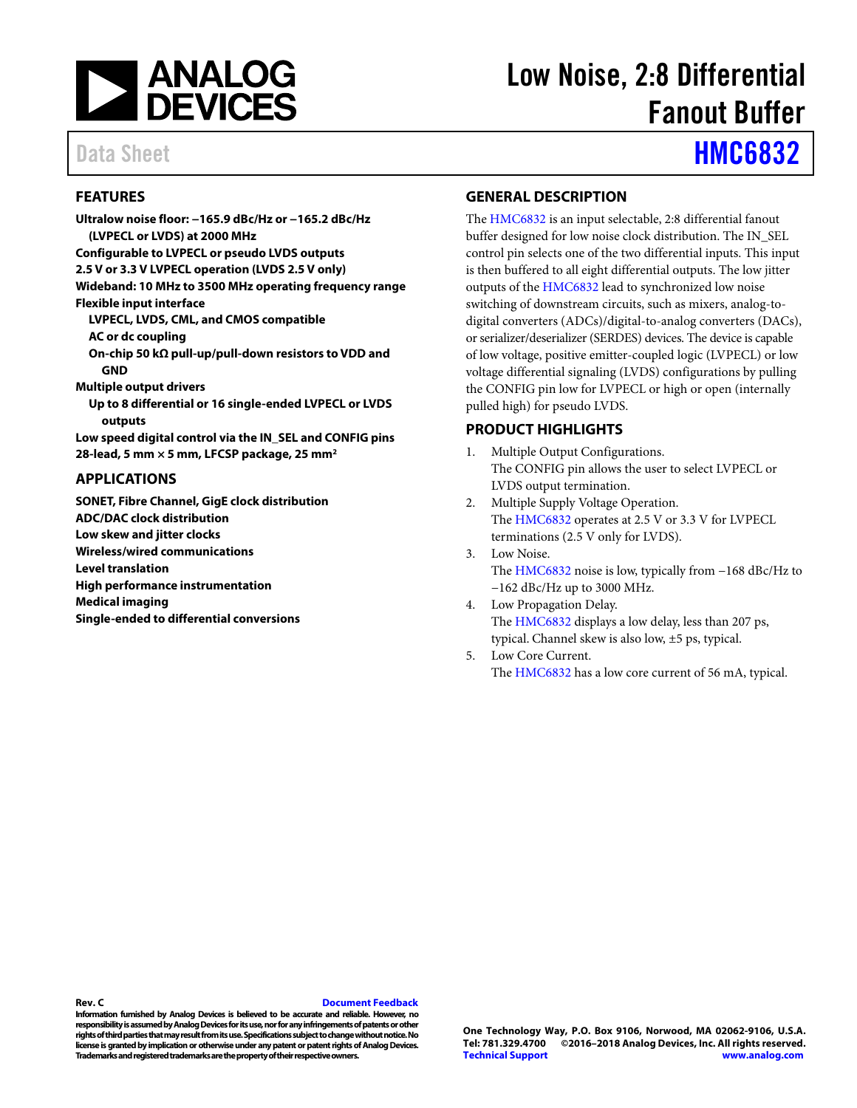

# Low Noise, 2:8 Differential Fanout Buffer

# Data Sheet **[HMC6832](http://www.analog.com/HMC6832?doc=HMC6832.pdf)**

### <span id="page-0-0"></span>**FEATURES**

**Ultralow noise floor: −165.9 dBc/Hz or −165.2 dBc/Hz (LVPECL or LVDS) at 2000 MHz Configurable to LVPECL or pseudo LVDS outputs 2.5 V or 3.3 V LVPECL operation (LVDS 2.5 V only) Wideband: 10 MHz to 3500 MHz operating frequency range Flexible input interface LVPECL, LVDS, CML, and CMOS compatible AC or dc coupling On-chip 50 kΩ pull-up/pull-down resistors to VDD and GND Multiple output drivers Up to 8 differential or 16 single-ended LVPECL or LVDS outputs Low speed digital control via the IN\_SEL and CONFIG pins 28-lead, 5 mm × 5 mm, LFCSP package, 25 mm2 APPLICATIONS** 

# <span id="page-0-1"></span>**SONET, Fibre Channel, GigE clock distribution**

**ADC/DAC clock distribution Low skew and jitter clocks Wireless/wired communications Level translation High performance instrumentation Medical imaging Single-ended to differential conversions** 

### <span id="page-0-2"></span>**GENERAL DESCRIPTION**

The [HMC6832 i](http://www.analog.com/HMC6832?doc=HMC6832.pdf)s an input selectable, 2:8 differential fanout buffer designed for low noise clock distribution. The IN\_SEL control pin selects one of the two differential inputs. This input is then buffered to all eight differential outputs. The low jitter outputs of th[e HMC6832](http://www.analog.com/HMC6832?doc=HMC6832.pdf) lead to synchronized low noise switching of downstream circuits, such as mixers, analog-todigital converters (ADCs)/digital-to-analog converters (DACs), or serializer/deserializer (SERDES) devices. The device is capable of low voltage, positive emitter-coupled logic (LVPECL) or low voltage differential signaling (LVDS) configurations by pulling the CONFIG pin low for LVPECL or high or open (internally pulled high) for pseudo LVDS.

### <span id="page-0-3"></span>**PRODUCT HIGHLIGHTS**

- 1. Multiple Output Configurations. The CONFIG pin allows the user to select LVPECL or LVDS output termination.
- 2. Multiple Supply Voltage Operation. The [HMC6832 o](http://www.analog.com/HMC6832?doc=HMC6832.pdf)perates at 2.5 V or 3.3 V for LVPECL terminations (2.5 V only for LVDS).
- 3. Low Noise. The [HMC6832 n](http://www.analog.com/HMC6832?doc=HMC6832.pdf)oise is low, typically from −168 dBc/Hz to −162 dBc/Hz up to 3000 MHz.
- 4. Low Propagation Delay. The [HMC6832 d](http://www.analog.com/HMC6832?doc=HMC6832.pdf)isplays a low delay, less than 207 ps, typical. Channel skew is also low, ±5 ps, typical.
- 5. Low Core Current. The [HMC6832 h](http://www.analog.com/HMC6832?doc=HMC6832.pdf)as a low core current of 56 mA, typical.

### **Rev. C Document Feedback**

**Information furnished by Analog Devices is believed to be accurate and reliable. However, no responsibility is assumed by Analog Devices for its use, nor for any infringements of patents or other rights of third parties that may result from its use. Specifications subject to change without notice. No license is granted by implication or otherwise under any patent or patent rights of Analog Devices. Trademarks and registered trademarks are the property of their respective owners.**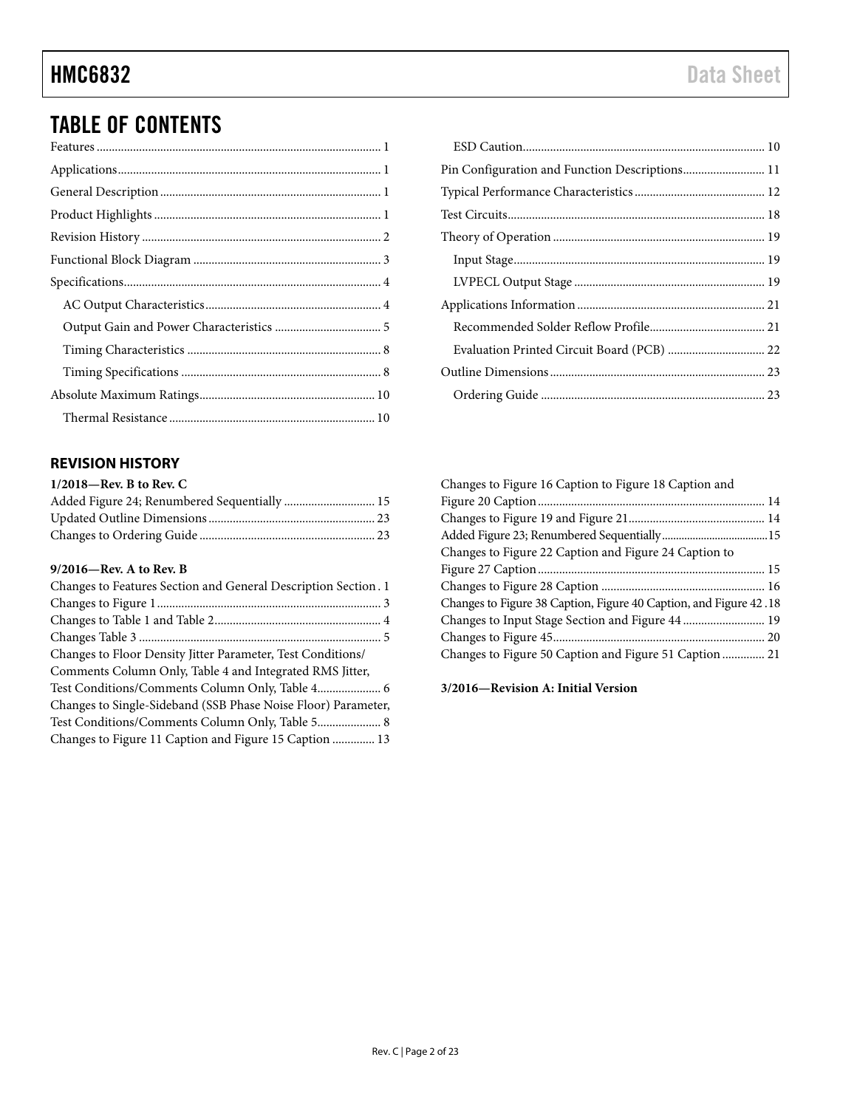# TABLE OF CONTENTS

## <span id="page-1-0"></span>**REVISION HISTORY**

| $1/2018$ —Rev. B to Rev. C                   |  |
|----------------------------------------------|--|
| Added Figure 24; Renumbered Sequentially  15 |  |
|                                              |  |
|                                              |  |

### **9/2016—Rev. A to Rev. B**

| Changes to Features Section and General Description Section. 1 |
|----------------------------------------------------------------|
|                                                                |
|                                                                |
|                                                                |
| Changes to Floor Density Jitter Parameter, Test Conditions/    |
| Comments Column Only, Table 4 and Integrated RMS Jitter,       |
|                                                                |
| Changes to Single-Sideband (SSB Phase Noise Floor) Parameter,  |
| Test Conditions/Comments Column Only, Table 5 8                |
| Changes to Figure 11 Caption and Figure 15 Caption  13         |
|                                                                |

| Pin Configuration and Function Descriptions 11 |  |
|------------------------------------------------|--|
|                                                |  |
|                                                |  |
|                                                |  |
|                                                |  |
|                                                |  |
|                                                |  |
|                                                |  |
|                                                |  |
|                                                |  |
|                                                |  |
|                                                |  |

| Changes to Figure 16 Caption to Figure 18 Caption and             |  |
|-------------------------------------------------------------------|--|
|                                                                   |  |
|                                                                   |  |
|                                                                   |  |
| Changes to Figure 22 Caption and Figure 24 Caption to             |  |
|                                                                   |  |
|                                                                   |  |
| Changes to Figure 38 Caption, Figure 40 Caption, and Figure 42.18 |  |
|                                                                   |  |
|                                                                   |  |
| Changes to Figure 50 Caption and Figure 51 Caption  21            |  |
|                                                                   |  |

**3/2016—Revision A: Initial Version**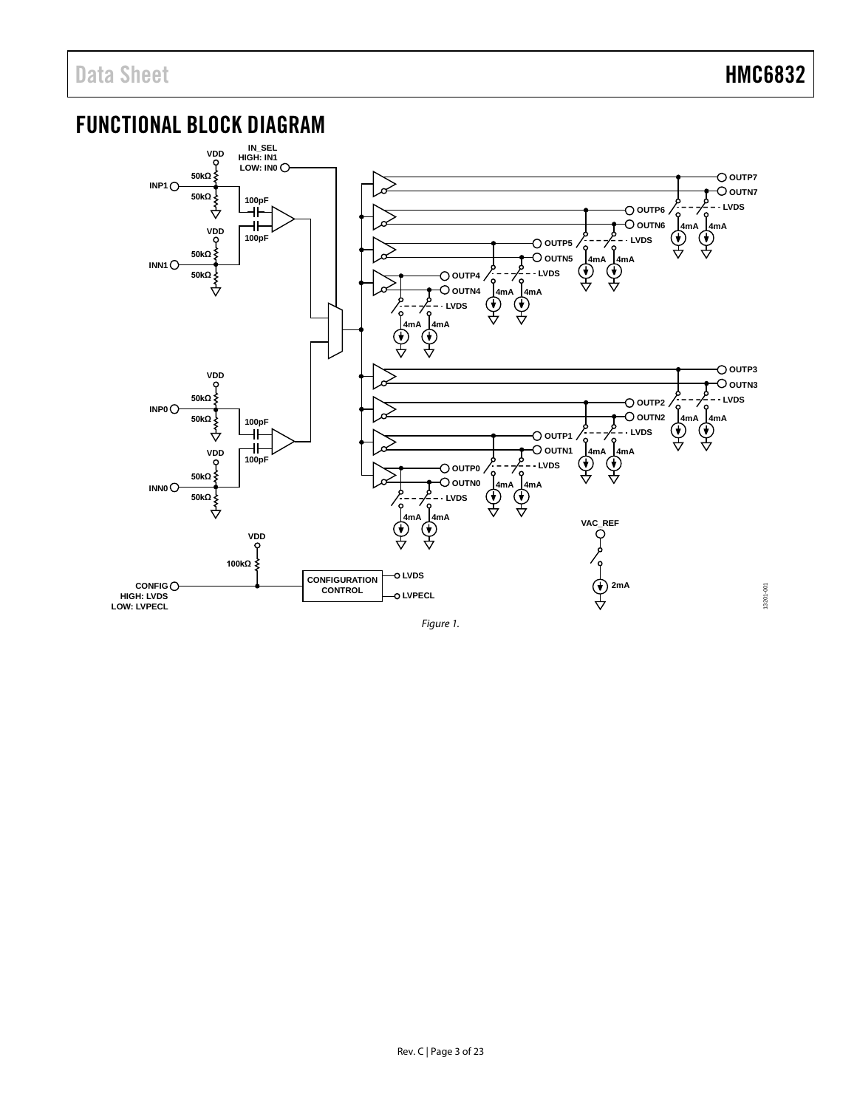## <span id="page-2-0"></span>FUNCTIONAL BLOCK DIAGRAM

<span id="page-2-1"></span>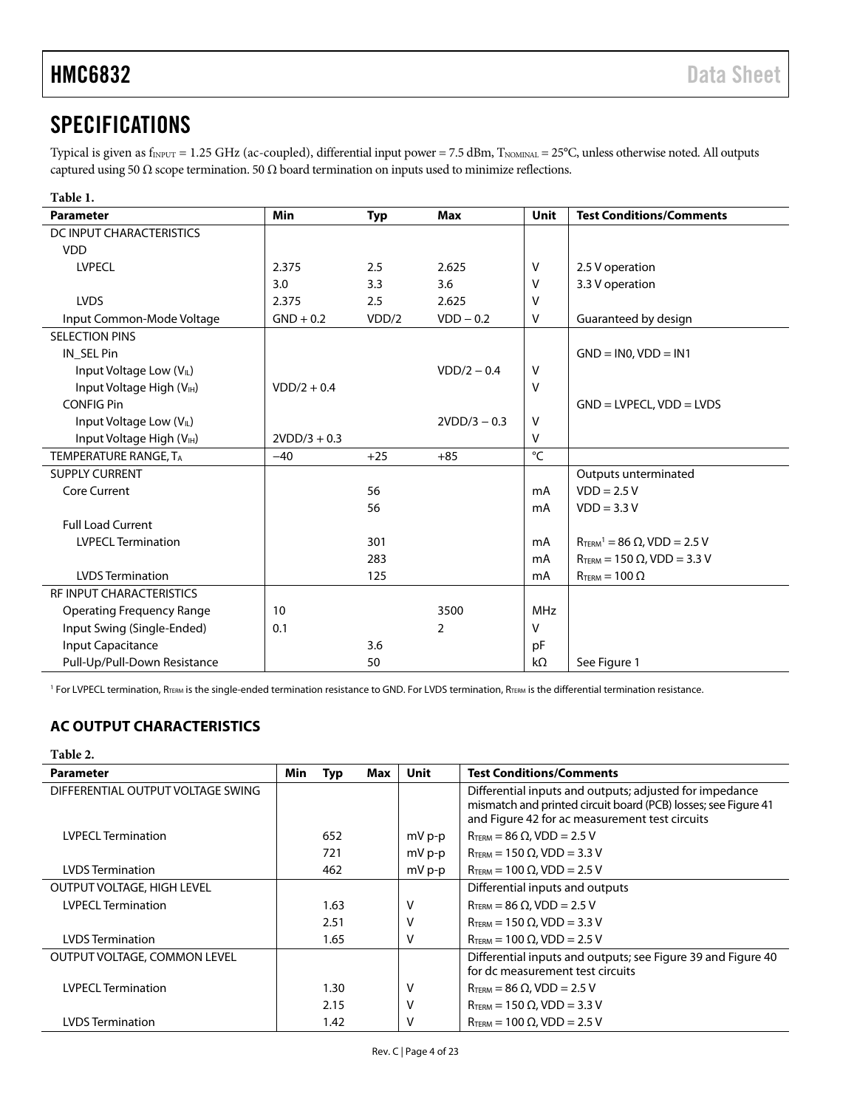# <span id="page-3-0"></span>SPECIFICATIONS

Typical is given as  $f_{INPUT} = 1.25$  GHz (ac-coupled), differential input power = 7.5 dBm, TNOMINAL = 25°C, unless otherwise noted. All outputs captured using 50  $\Omega$  scope termination. 50  $\Omega$  board termination on inputs used to minimize reflections.

| Table 1.                             |                |            |                |              |                                                 |
|--------------------------------------|----------------|------------|----------------|--------------|-------------------------------------------------|
| <b>Parameter</b>                     | Min            | <b>Typ</b> | Max            | <b>Unit</b>  | <b>Test Conditions/Comments</b>                 |
| DC INPUT CHARACTERISTICS             |                |            |                |              |                                                 |
| <b>VDD</b>                           |                |            |                |              |                                                 |
| <b>LVPECL</b>                        | 2.375          | 2.5        | 2.625          | v            | 2.5 V operation                                 |
|                                      | 3.0            | 3.3        | 3.6            | V            | 3.3 V operation                                 |
| <b>LVDS</b>                          | 2.375          | 2.5        | 2.625          | v            |                                                 |
| Input Common-Mode Voltage            | $GND + 0.2$    | VDD/2      | $VDD - 0.2$    | v            | Guaranteed by design                            |
| <b>SELECTION PINS</b>                |                |            |                |              |                                                 |
| IN SEL Pin                           |                |            |                |              | $GND = IN0, VDD = IN1$                          |
| Input Voltage Low (V <sub>IL</sub> ) |                |            | $VDD/2 - 0.4$  | V            |                                                 |
| Input Voltage High (VIH)             | $VDD/2 + 0.4$  |            |                | V            |                                                 |
| <b>CONFIG Pin</b>                    |                |            |                |              | $GND = LVPECL, VDD = LVDS$                      |
| Input Voltage Low (VL)               |                |            | $2VDD/3 - 0.3$ | V            |                                                 |
| Input Voltage High (VIH)             | $2VDD/3 + 0.3$ |            |                | v            |                                                 |
| TEMPERATURE RANGE, TA                | $-40$          | $+25$      | $+85$          | $^{\circ}$ C |                                                 |
| <b>SUPPLY CURRENT</b>                |                |            |                |              | Outputs unterminated                            |
| <b>Core Current</b>                  |                | 56         |                | mA           | $VDD = 2.5 V$                                   |
|                                      |                | 56         |                | mA           | $VDD = 3.3 V$                                   |
| <b>Full Load Current</b>             |                |            |                |              |                                                 |
| <b>LVPECL Termination</b>            |                | 301        |                | mA           | $R_{\text{TERM}}^1$ = 86 $\Omega$ , VDD = 2.5 V |
|                                      |                | 283        |                | mA           | $R_{\text{TERM}} = 150 \Omega$ , VDD = 3.3 V    |
| <b>LVDS</b> Termination              |                | 125        |                | mA           | $R_{\text{TERM}} = 100 \Omega$                  |
| <b>RF INPUT CHARACTERISTICS</b>      |                |            |                |              |                                                 |
| <b>Operating Frequency Range</b>     | 10             |            | 3500           | <b>MHz</b>   |                                                 |
| Input Swing (Single-Ended)           | 0.1            |            | 2              | V            |                                                 |
| Input Capacitance                    |                | 3.6        |                | pF           |                                                 |
| Pull-Up/Pull-Down Resistance         |                | 50         |                | $k\Omega$    | See Figure 1                                    |

<sup>1</sup> For LVPECL termination, R<sub>TERM</sub> is the single-ended termination resistance to GND. For LVDS termination, R<sub>TERM</sub> is the differential termination resistance.

## <span id="page-3-1"></span>**AC OUTPUT CHARACTERISTICS**

**Table 2.** 

| <b>Parameter</b>                  | Min | Typ  | Max | Unit     | <b>Test Conditions/Comments</b>                                                                                                                                             |
|-----------------------------------|-----|------|-----|----------|-----------------------------------------------------------------------------------------------------------------------------------------------------------------------------|
| DIFFERENTIAL OUTPUT VOLTAGE SWING |     |      |     |          | Differential inputs and outputs; adjusted for impedance<br>mismatch and printed circuit board (PCB) losses; see Figure 41<br>and Figure 42 for ac measurement test circuits |
| <b>LVPECL Termination</b>         |     | 652  |     | $mV p-p$ | $R_{\text{TERM}} = 86 \Omega$ , VDD = 2.5 V                                                                                                                                 |
|                                   |     | 721  |     | mV p-p   | $R_{\text{TFRM}} = 150 \Omega$ , VDD = 3.3 V                                                                                                                                |
| <b>LVDS</b> Termination           |     | 462  |     | $mV p-p$ | $R_{\text{TERM}} = 100 \Omega$ , VDD = 2.5 V                                                                                                                                |
| <b>OUTPUT VOLTAGE, HIGH LEVEL</b> |     |      |     |          | Differential inputs and outputs                                                                                                                                             |
| <b>LVPECL Termination</b>         |     | 1.63 |     | v        | $R_{\text{TFRM}}$ = 86 $\Omega$ , VDD = 2.5 V                                                                                                                               |
|                                   |     | 2.51 |     | v        | $R_{\text{TERM}}$ = 150 $\Omega$ , VDD = 3.3 V                                                                                                                              |
| <b>LVDS</b> Termination           |     | 1.65 |     | ٧        | $R_{\text{TFRM}} = 100 \Omega$ , VDD = 2.5 V                                                                                                                                |
| OUTPUT VOLTAGE, COMMON LEVEL      |     |      |     |          | Differential inputs and outputs; see Figure 39 and Figure 40<br>for dc measurement test circuits                                                                            |
| <b>LVPECL Termination</b>         |     | 1.30 |     | ν        | $R_{\text{TERM}} = 86 \Omega$ , VDD = 2.5 V                                                                                                                                 |
|                                   |     | 2.15 |     | ν        | $R_{\text{TERM}} = 150 \Omega$ , VDD = 3.3 V                                                                                                                                |
| <b>LVDS</b> Termination           |     | 1.42 |     | ٧        | $R_{\text{TFRM}} = 100 \Omega$ , VDD = 2.5 V                                                                                                                                |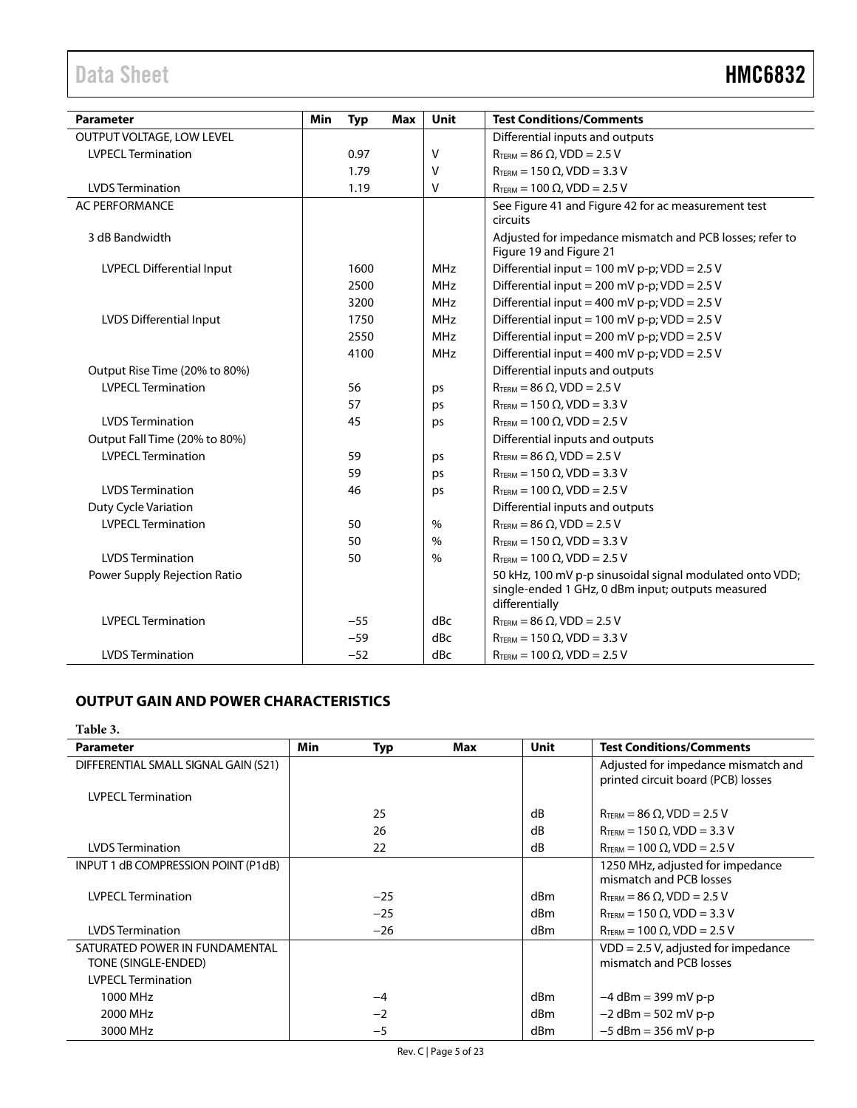| <b>Parameter</b>              | Min<br><b>Typ</b> | Max | Unit          | <b>Test Conditions/Comments</b>                                                                                                 |
|-------------------------------|-------------------|-----|---------------|---------------------------------------------------------------------------------------------------------------------------------|
| OUTPUT VOLTAGE, LOW LEVEL     |                   |     |               | Differential inputs and outputs                                                                                                 |
| <b>LVPECL Termination</b>     | 0.97              |     | v             | $R_{\text{TERM}} = 86 \Omega$ , VDD = 2.5 V                                                                                     |
|                               | 1.79              |     | ٧             | $R_{\text{TERM}} = 150 \Omega$ , VDD = 3.3 V                                                                                    |
| <b>LVDS</b> Termination       | 1.19              |     | ٧             | $R_{\text{TERM}} = 100 \Omega$ , VDD = 2.5 V                                                                                    |
| <b>AC PERFORMANCE</b>         |                   |     |               | See Figure 41 and Figure 42 for ac measurement test<br>circuits                                                                 |
| 3 dB Bandwidth                |                   |     |               | Adjusted for impedance mismatch and PCB losses; refer to<br>Figure 19 and Figure 21                                             |
| LVPECL Differential Input     | 1600              |     | <b>MHz</b>    | Differential input = 100 mV p-p; VDD = 2.5 V                                                                                    |
|                               | 2500              |     | <b>MHz</b>    | Differential input = 200 mV p-p; VDD = 2.5 V                                                                                    |
|                               | 3200              |     | <b>MHz</b>    | Differential input = 400 mV p-p; VDD = 2.5 V                                                                                    |
| LVDS Differential Input       | 1750              |     | <b>MHz</b>    | Differential input = $100$ mV p-p; VDD = $2.5$ V                                                                                |
|                               | 2550              |     | <b>MHz</b>    | Differential input = 200 mV p-p; $VDD = 2.5 V$                                                                                  |
|                               | 4100              |     | <b>MHz</b>    | Differential input = 400 mV p-p; VDD = 2.5 V                                                                                    |
| Output Rise Time (20% to 80%) |                   |     |               | Differential inputs and outputs                                                                                                 |
| <b>LVPECL Termination</b>     | 56                |     | ps            | $R_{\text{TERM}} = 86 \Omega$ , VDD = 2.5 V                                                                                     |
|                               | 57                |     | ps            | $R_{\text{TERM}} = 150 \Omega$ , VDD = 3.3 V                                                                                    |
| <b>LVDS</b> Termination       | 45                |     | ps            | $R_{\text{TFRM}}$ = 100 $\Omega$ , VDD = 2.5 V                                                                                  |
| Output Fall Time (20% to 80%) |                   |     |               | Differential inputs and outputs                                                                                                 |
| <b>LVPECL Termination</b>     | 59                |     | ps            | $R_{\text{TERM}} = 86 \Omega$ , VDD = 2.5 V                                                                                     |
|                               | 59                |     | ps            | $R_{\text{TERM}} = 150 \Omega$ , VDD = 3.3 V                                                                                    |
| <b>LVDS Termination</b>       | 46                |     | ps            | $R_{\text{TERM}} = 100 \Omega$ , VDD = 2.5 V                                                                                    |
| Duty Cycle Variation          |                   |     |               | Differential inputs and outputs                                                                                                 |
| <b>LVPECL Termination</b>     | 50                |     | $\%$          | $R_{\text{TERM}} = 86 \Omega$ , VDD = 2.5 V                                                                                     |
|                               | 50                |     | $\%$          | $R_{\text{TERM}} = 150 \Omega$ , VDD = 3.3 V                                                                                    |
| <b>LVDS Termination</b>       | 50                |     | $\frac{0}{0}$ | $R_{\text{TERM}} = 100 \Omega$ , VDD = 2.5 V                                                                                    |
| Power Supply Rejection Ratio  |                   |     |               | 50 kHz, 100 mV p-p sinusoidal signal modulated onto VDD;<br>single-ended 1 GHz, 0 dBm input; outputs measured<br>differentially |
| <b>LVPECL Termination</b>     | $-55$             |     | dBc           | $R_{\text{TERM}} = 86 \Omega$ , VDD = 2.5 V                                                                                     |
|                               | $-59$             |     | dBc           | $R_{\text{TERM}} = 150 \Omega$ , VDD = 3.3 V                                                                                    |
| <b>LVDS</b> Termination       | $-52$             |     | dBc           | $R_{\text{TFRM}} = 100 \Omega$ , VDD = 2.5 V                                                                                    |

## <span id="page-4-0"></span>**OUTPUT GAIN AND POWER CHARACTERISTICS**

### **Table 3.**

| <b>Parameter</b>                                      | Min | Typ   | Max | Unit            | <b>Test Conditions/Comments</b>                                           |
|-------------------------------------------------------|-----|-------|-----|-----------------|---------------------------------------------------------------------------|
| DIFFERENTIAL SMALL SIGNAL GAIN (S21)                  |     |       |     |                 | Adjusted for impedance mismatch and<br>printed circuit board (PCB) losses |
| <b>LVPECL Termination</b>                             |     |       |     |                 |                                                                           |
|                                                       |     | 25    |     | dB              | $R_{\text{TERM}} = 86 \Omega$ , VDD = 2.5 V                               |
|                                                       |     | 26    |     | dB              | $R_{\text{TFRM}}$ = 150 $\Omega$ , VDD = 3.3 V                            |
| <b>LVDS</b> Termination                               |     | 22    |     | dB              | $R_{\text{TERM}}$ = 100 $\Omega$ , VDD = 2.5 V                            |
| INPUT 1 dB COMPRESSION POINT (P1dB)                   |     |       |     |                 | 1250 MHz, adjusted for impedance<br>mismatch and PCB losses               |
| <b>LVPECL Termination</b>                             |     | $-25$ |     | dBm             | $R_{\text{TFRM}}$ = 86 $\Omega$ , VDD = 2.5 V                             |
|                                                       |     | $-25$ |     | dBm             | $R_{\text{TERM}}$ = 150 $\Omega$ , VDD = 3.3 V                            |
| <b>LVDS</b> Termination                               |     | $-26$ |     | dBm             | $R_{\text{TERM}}$ = 100 $\Omega$ , VDD = 2.5 V                            |
| SATURATED POWER IN FUNDAMENTAL<br>TONE (SINGLE-ENDED) |     |       |     |                 | $VDD = 2.5 V$ , adjusted for impedance<br>mismatch and PCB losses         |
| <b>LVPECL Termination</b>                             |     |       |     |                 |                                                                           |
| 1000 MHz                                              |     | $-4$  |     | dBm             | $-4$ dBm = 399 mV p-p                                                     |
| 2000 MHz                                              |     | $-2$  |     | dBm             | $-2$ dBm = 502 mV p-p                                                     |
| 3000 MHz                                              |     | $-5$  |     | d <sub>Bm</sub> | $-5$ dBm = 356 mV p-p                                                     |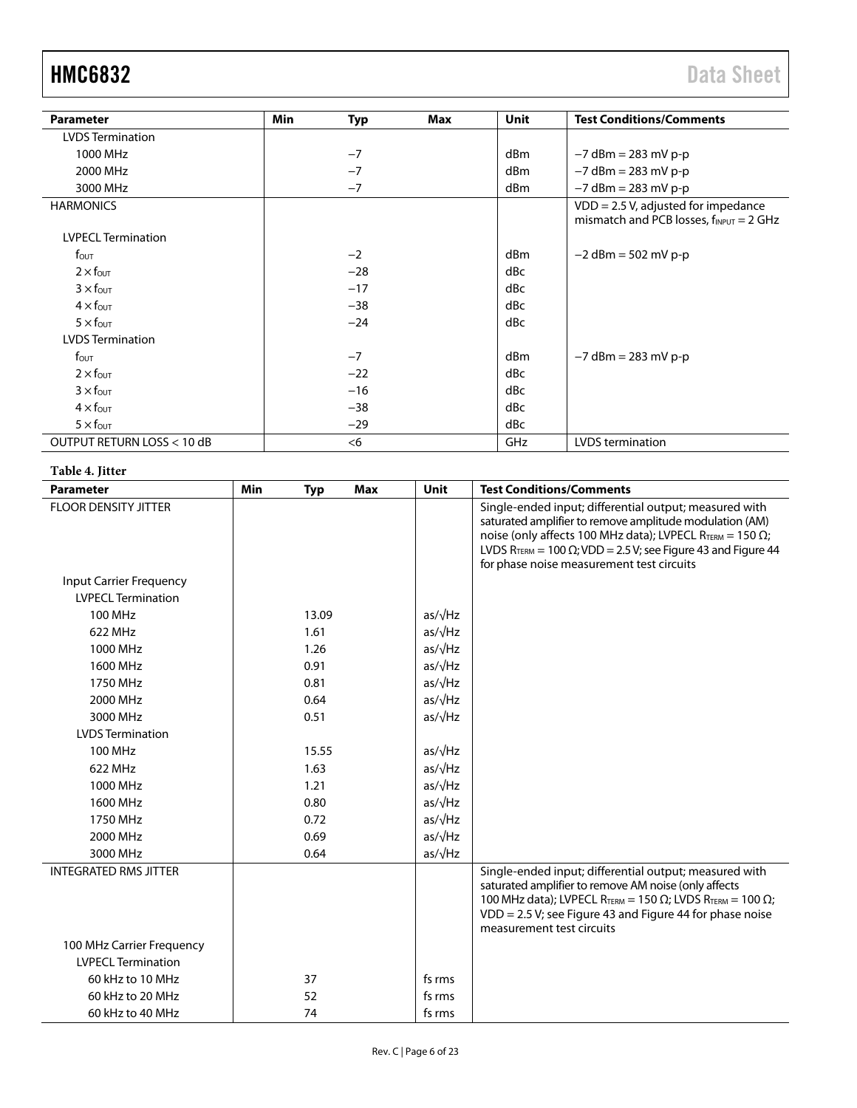# [HMC6832](http://www.analog.com/HMC6832?doc=HMC6832.pdf) Data Sheet

| <b>Parameter</b>           | <b>Min</b> | <b>Typ</b> | <b>Max</b> | <b>Unit</b>     | <b>Test Conditions/Comments</b>                                                       |
|----------------------------|------------|------------|------------|-----------------|---------------------------------------------------------------------------------------|
| <b>LVDS</b> Termination    |            |            |            |                 |                                                                                       |
| 1000 MHz                   |            | $-7$       |            | dBm             | $-7$ dBm = 283 mV p-p                                                                 |
| 2000 MHz                   |            | $-7$       |            | dBm             | $-7$ dBm = 283 mV p-p                                                                 |
| 3000 MHz                   |            | $-7$       |            | d <sub>Bm</sub> | $-7$ dBm = 283 mV p-p                                                                 |
| <b>HARMONICS</b>           |            |            |            |                 | $VDD = 2.5 V$ , adjusted for impedance<br>mismatch and PCB losses, $f_{IPUT} = 2$ GHz |
| <b>LVPECL Termination</b>  |            |            |            |                 |                                                                                       |
| $f_{\text{OUT}}$           |            | $-2$       |            | dBm             | $-2$ dBm = 502 mV p-p                                                                 |
| $2 \times f_{\text{OUT}}$  |            | $-28$      |            | dBc             |                                                                                       |
| $3 \times f_{\text{OUT}}$  |            | $-17$      |            | dBc             |                                                                                       |
| $4 \times f_{\text{OUT}}$  |            | $-38$      |            | dBc             |                                                                                       |
| $5 \times f_{\text{OUT}}$  |            | $-24$      |            | dBc             |                                                                                       |
| <b>LVDS</b> Termination    |            |            |            |                 |                                                                                       |
| $f_{\text{OUT}}$           |            | $-7$       |            | dBm             | $-7$ dBm = 283 mV p-p                                                                 |
| $2 \times f_{\text{OUT}}$  |            | $-22$      |            | dBc             |                                                                                       |
| $3 \times$ four            |            | $-16$      |            | dBc             |                                                                                       |
| $4 \times f_{\text{OUT}}$  |            | $-38$      |            | dBc             |                                                                                       |
| $5 \times f_{\text{OUT}}$  |            | $-29$      |            | dBc             |                                                                                       |
| OUTPUT RETURN LOSS < 10 dB |            | $<$ 6      |            | GHz             | LVDS termination                                                                      |

### **Table 4. Jitter**

| <b>Parameter</b>               | Min<br><b>Typ</b> | <b>Max</b> | Unit            | <b>Test Conditions/Comments</b>                                                                                                                                                                                                                                                                                        |
|--------------------------------|-------------------|------------|-----------------|------------------------------------------------------------------------------------------------------------------------------------------------------------------------------------------------------------------------------------------------------------------------------------------------------------------------|
| <b>FLOOR DENSITY JITTER</b>    |                   |            |                 | Single-ended input; differential output; measured with<br>saturated amplifier to remove amplitude modulation (AM)<br>noise (only affects 100 MHz data); LVPECL RTERM = 150 $\Omega$ ;<br>LVDS R <sub>TERM</sub> = 100 $\Omega$ ; VDD = 2.5 V; see Figure 43 and Figure 44<br>for phase noise measurement test circuits |
| <b>Input Carrier Frequency</b> |                   |            |                 |                                                                                                                                                                                                                                                                                                                        |
| <b>LVPECL Termination</b>      |                   |            |                 |                                                                                                                                                                                                                                                                                                                        |
| 100 MHz                        | 13.09             |            | $as/\sqrt{Hz}$  |                                                                                                                                                                                                                                                                                                                        |
| 622 MHz                        | 1.61              |            | $as/\sqrt{Hz}$  |                                                                                                                                                                                                                                                                                                                        |
| 1000 MHz                       | 1.26              |            | $as/\sqrt{Hz}$  |                                                                                                                                                                                                                                                                                                                        |
| 1600 MHz                       | 0.91              |            | $as/\sqrt{Hz}$  |                                                                                                                                                                                                                                                                                                                        |
| 1750 MHz                       | 0.81              |            | $as/\sqrt{Hz}$  |                                                                                                                                                                                                                                                                                                                        |
| 2000 MHz                       | 0.64              |            | $as/\sqrt{Hz}$  |                                                                                                                                                                                                                                                                                                                        |
| 3000 MHz                       | 0.51              |            | $as/\sqrt{Hz}$  |                                                                                                                                                                                                                                                                                                                        |
| <b>LVDS Termination</b>        |                   |            |                 |                                                                                                                                                                                                                                                                                                                        |
| 100 MHz                        | 15.55             |            | as/ $\sqrt{Hz}$ |                                                                                                                                                                                                                                                                                                                        |
| 622 MHz                        | 1.63              |            | $as/\sqrt{Hz}$  |                                                                                                                                                                                                                                                                                                                        |
| 1000 MHz                       | 1.21              |            | $as/\sqrt{Hz}$  |                                                                                                                                                                                                                                                                                                                        |
| 1600 MHz                       | 0.80              |            | $as/\sqrt{Hz}$  |                                                                                                                                                                                                                                                                                                                        |
| 1750 MHz                       | 0.72              |            | $as/\sqrt{Hz}$  |                                                                                                                                                                                                                                                                                                                        |
| 2000 MHz                       | 0.69              |            | $as/\sqrt{Hz}$  |                                                                                                                                                                                                                                                                                                                        |
| 3000 MHz                       | 0.64              |            | $as/\sqrt{Hz}$  |                                                                                                                                                                                                                                                                                                                        |
| <b>INTEGRATED RMS JITTER</b>   |                   |            |                 | Single-ended input; differential output; measured with<br>saturated amplifier to remove AM noise (only affects<br>100 MHz data); LVPECL R <sub>TERM</sub> = 150 $\Omega$ ; LVDS R <sub>TERM</sub> = 100 $\Omega$ ;<br>$VDD = 2.5 V$ ; see Figure 43 and Figure 44 for phase noise<br>measurement test circuits         |
| 100 MHz Carrier Frequency      |                   |            |                 |                                                                                                                                                                                                                                                                                                                        |
| <b>LVPECL Termination</b>      |                   |            |                 |                                                                                                                                                                                                                                                                                                                        |
| 60 kHz to 10 MHz               | 37                |            | fs rms          |                                                                                                                                                                                                                                                                                                                        |
| 60 kHz to 20 MHz               | 52                |            | fs rms          |                                                                                                                                                                                                                                                                                                                        |
| 60 kHz to 40 MHz               | 74                |            | fs rms          |                                                                                                                                                                                                                                                                                                                        |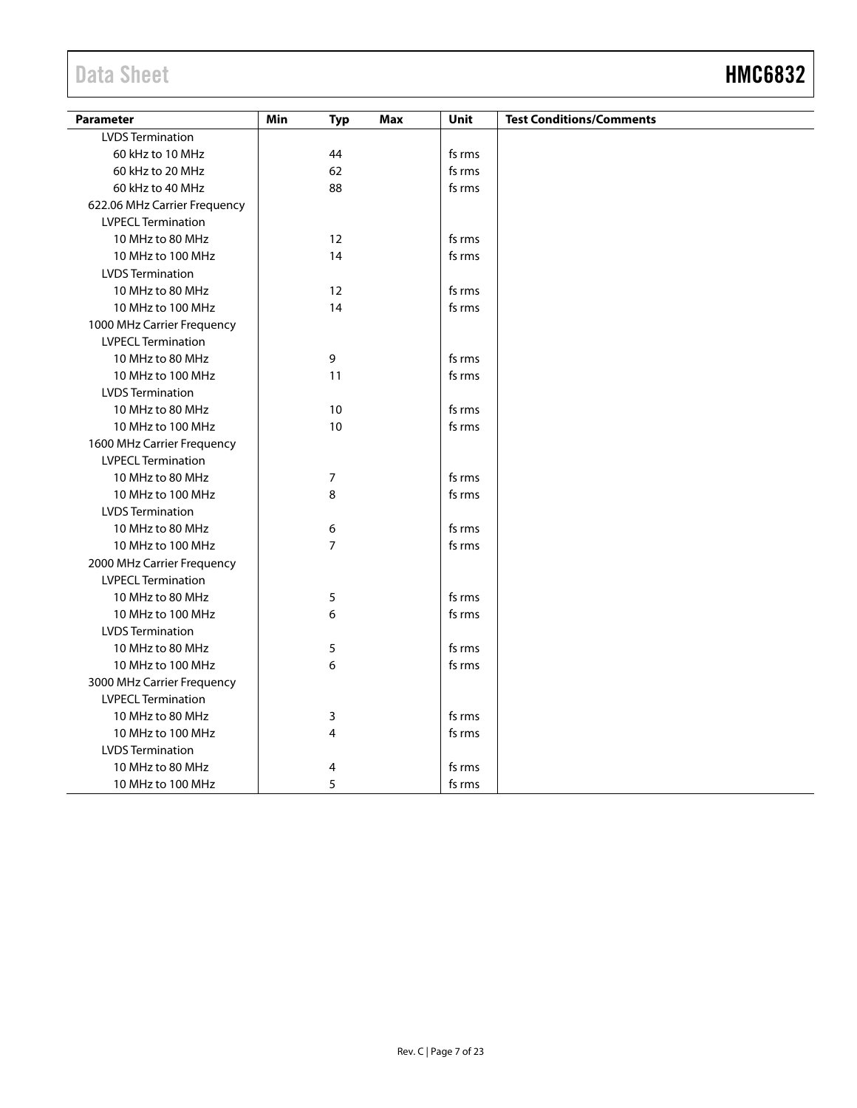| <b>Parameter</b>             | Min<br><b>Typ</b> | <b>Max</b> | Unit   | <b>Test Conditions/Comments</b> |
|------------------------------|-------------------|------------|--------|---------------------------------|
| <b>LVDS Termination</b>      |                   |            |        |                                 |
| 60 kHz to 10 MHz             | 44                |            | fs rms |                                 |
| 60 kHz to 20 MHz             | 62                |            | fs rms |                                 |
| 60 kHz to 40 MHz             | 88                |            | fs rms |                                 |
| 622.06 MHz Carrier Frequency |                   |            |        |                                 |
| <b>LVPECL Termination</b>    |                   |            |        |                                 |
| 10 MHz to 80 MHz             | 12                |            | fs rms |                                 |
| 10 MHz to 100 MHz            | 14                |            | fs rms |                                 |
| <b>LVDS</b> Termination      |                   |            |        |                                 |
| 10 MHz to 80 MHz             | 12                |            | fs rms |                                 |
| 10 MHz to 100 MHz            | 14                |            | fs rms |                                 |
| 1000 MHz Carrier Frequency   |                   |            |        |                                 |
| <b>LVPECL Termination</b>    |                   |            |        |                                 |
| 10 MHz to 80 MHz             | 9                 |            | fs rms |                                 |
| 10 MHz to 100 MHz            | 11                |            | fs rms |                                 |
| <b>LVDS Termination</b>      |                   |            |        |                                 |
| 10 MHz to 80 MHz             | 10                |            | fs rms |                                 |
| 10 MHz to 100 MHz            | 10                |            | fs rms |                                 |
| 1600 MHz Carrier Frequency   |                   |            |        |                                 |
| <b>LVPECL Termination</b>    |                   |            |        |                                 |
| 10 MHz to 80 MHz             | 7                 |            | fs rms |                                 |
| 10 MHz to 100 MHz            | 8                 |            | fs rms |                                 |
| <b>LVDS</b> Termination      |                   |            |        |                                 |
| 10 MHz to 80 MHz             | 6                 |            | fs rms |                                 |
| 10 MHz to 100 MHz            | $\overline{7}$    |            | fs rms |                                 |
| 2000 MHz Carrier Frequency   |                   |            |        |                                 |
| <b>LVPECL Termination</b>    |                   |            |        |                                 |
| 10 MHz to 80 MHz             | 5                 |            | fs rms |                                 |
| 10 MHz to 100 MHz            | 6                 |            | fs rms |                                 |
| <b>LVDS</b> Termination      |                   |            |        |                                 |
| 10 MHz to 80 MHz             | 5                 |            | fs rms |                                 |
| 10 MHz to 100 MHz            | 6                 |            | fs rms |                                 |
| 3000 MHz Carrier Frequency   |                   |            |        |                                 |
| <b>LVPECL Termination</b>    |                   |            |        |                                 |
| 10 MHz to 80 MHz             | 3                 |            | fs rms |                                 |
| 10 MHz to 100 MHz            | $\overline{4}$    |            | fs rms |                                 |
| <b>LVDS</b> Termination      |                   |            |        |                                 |
| 10 MHz to 80 MHz             | 4                 |            | fs rms |                                 |
| 10 MHz to 100 MHz            | 5                 |            | fs rms |                                 |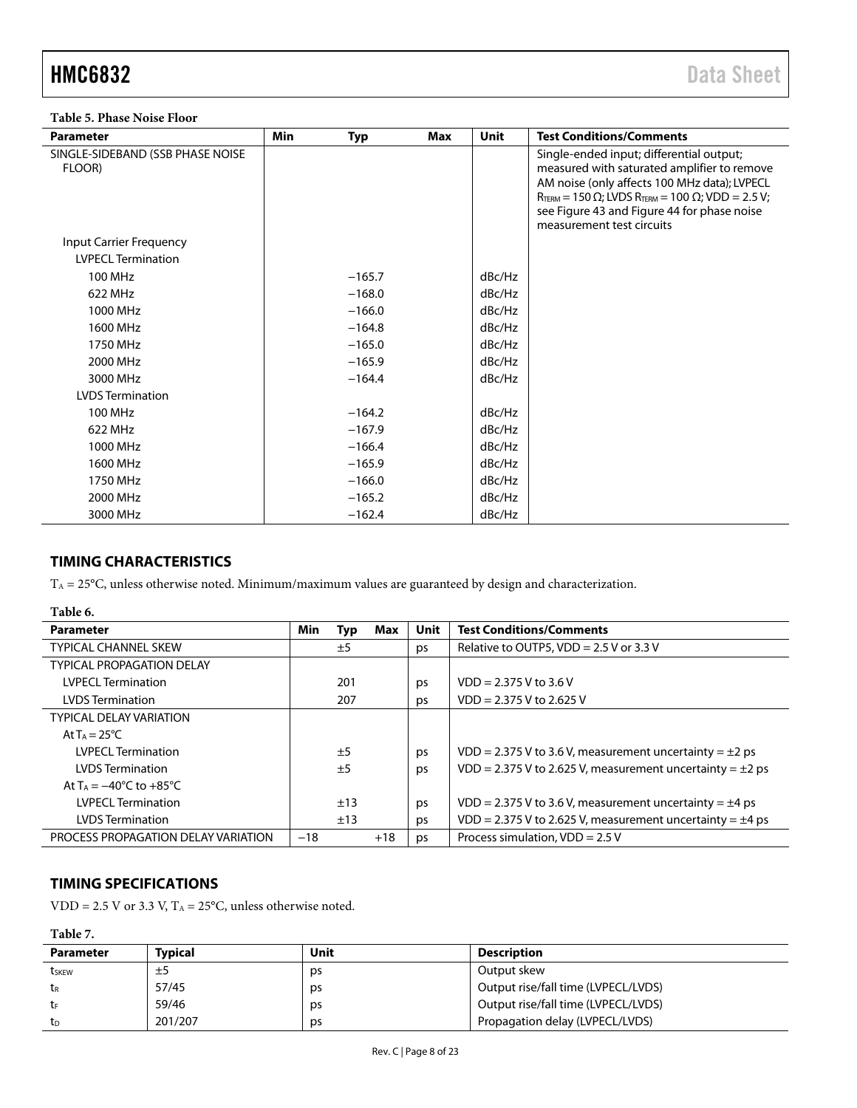### **Table 5. Phase Noise Floor**

| <b>Parameter</b>                           | Min | <b>Typ</b> | Max | <b>Unit</b> | <b>Test Conditions/Comments</b>                                                                                                                                                                                                                                                                            |
|--------------------------------------------|-----|------------|-----|-------------|------------------------------------------------------------------------------------------------------------------------------------------------------------------------------------------------------------------------------------------------------------------------------------------------------------|
| SINGLE-SIDEBAND (SSB PHASE NOISE<br>FLOOR) |     |            |     |             | Single-ended input; differential output;<br>measured with saturated amplifier to remove<br>AM noise (only affects 100 MHz data); LVPECL<br>$R_{\text{TERM}} = 150 \Omega$ ; LVDS $R_{\text{TERM}} = 100 \Omega$ ; VDD = 2.5 V;<br>see Figure 43 and Figure 44 for phase noise<br>measurement test circuits |
| <b>Input Carrier Frequency</b>             |     |            |     |             |                                                                                                                                                                                                                                                                                                            |
| <b>LVPECL Termination</b>                  |     |            |     |             |                                                                                                                                                                                                                                                                                                            |
| 100 MHz                                    |     | $-165.7$   |     | dBc/Hz      |                                                                                                                                                                                                                                                                                                            |
| 622 MHz                                    |     | $-168.0$   |     | dBc/Hz      |                                                                                                                                                                                                                                                                                                            |
| 1000 MHz                                   |     | $-166.0$   |     | dBc/Hz      |                                                                                                                                                                                                                                                                                                            |
| 1600 MHz                                   |     | $-164.8$   |     | dBc/Hz      |                                                                                                                                                                                                                                                                                                            |
| 1750 MHz                                   |     | $-165.0$   |     | dBc/Hz      |                                                                                                                                                                                                                                                                                                            |
| 2000 MHz                                   |     | $-165.9$   |     | dBc/Hz      |                                                                                                                                                                                                                                                                                                            |
| 3000 MHz                                   |     | $-164.4$   |     | dBc/Hz      |                                                                                                                                                                                                                                                                                                            |
| <b>LVDS</b> Termination                    |     |            |     |             |                                                                                                                                                                                                                                                                                                            |
| 100 MHz                                    |     | $-164.2$   |     | dBc/Hz      |                                                                                                                                                                                                                                                                                                            |
| 622 MHz                                    |     | $-167.9$   |     | dBc/Hz      |                                                                                                                                                                                                                                                                                                            |
| 1000 MHz                                   |     | $-166.4$   |     | dBc/Hz      |                                                                                                                                                                                                                                                                                                            |
| 1600 MHz                                   |     | $-165.9$   |     | dBc/Hz      |                                                                                                                                                                                                                                                                                                            |
| 1750 MHz                                   |     | $-166.0$   |     | dBc/Hz      |                                                                                                                                                                                                                                                                                                            |
| 2000 MHz                                   |     | $-165.2$   |     | dBc/Hz      |                                                                                                                                                                                                                                                                                                            |
| 3000 MHz                                   |     | $-162.4$   |     | dBc/Hz      |                                                                                                                                                                                                                                                                                                            |

## <span id="page-7-0"></span>**TIMING CHARACTERISTICS**

 $T_A = 25$ °C, unless otherwise noted. Minimum/maximum values are guaranteed by design and characterization.

| Table 6.                                  |       |     |       |      |                                                                  |
|-------------------------------------------|-------|-----|-------|------|------------------------------------------------------------------|
| <b>Parameter</b>                          | Min   | Typ | Max   | Unit | <b>Test Conditions/Comments</b>                                  |
| <b>TYPICAL CHANNEL SKEW</b>               |       | ±5  |       | ps   | Relative to OUTP5, $VDD = 2.5 V$ or 3.3 V                        |
| <b>TYPICAL PROPAGATION DELAY</b>          |       |     |       |      |                                                                  |
| <b>LVPECL Termination</b>                 |       | 201 |       | ps   | $VDD = 2.375 V to 3.6 V$                                         |
| <b>LVDS</b> Termination                   |       | 207 |       | ps   | $VDD = 2.375 V$ to 2.625 V                                       |
| <b>TYPICAL DELAY VARIATION</b>            |       |     |       |      |                                                                  |
| At $T_A = 25^{\circ}C$                    |       |     |       |      |                                                                  |
| <b>LVPECL Termination</b>                 |       | ±5  |       | ps   | $VDD = 2.375$ V to 3.6 V, measurement uncertainty = $\pm 2$ ps   |
| <b>LVDS</b> Termination                   |       | ±5  |       | ps   | $VDD = 2.375$ V to 2.625 V, measurement uncertainty = $\pm 2$ ps |
| At $T_A = -40^{\circ}C$ to $+85^{\circ}C$ |       |     |       |      |                                                                  |
| <b>LVPECL Termination</b>                 |       | ±13 |       | ps   | VDD = 2.375 V to 3.6 V, measurement uncertainty = $\pm$ 4 ps     |
| <b>LVDS</b> Termination                   |       | ±13 |       | ps   | VDD = 2.375 V to 2.625 V, measurement uncertainty = $\pm$ 4 ps   |
| PROCESS PROPAGATION DELAY VARIATION       | $-18$ |     | $+18$ | ps   | Process simulation, $VDD = 2.5 V$                                |

## <span id="page-7-1"></span>**TIMING SPECIFICATIONS**

VDD = 2.5 V or 3.3 V,  $T_A = 25^{\circ}$ C, unless otherwise noted.

| וחו<br>11 |  |
|-----------|--|
|           |  |

| Parameter | Tvpical | Unit | <b>Description</b>                  |
|-----------|---------|------|-------------------------------------|
| tskew     | 土コ      | ps   | Output skew                         |
|           | 57/45   | рs   | Output rise/fall time (LVPECL/LVDS) |
|           | 59/46   | рs   | Output rise/fall time (LVPECL/LVDS) |
| τp        | 201/207 | рs   | Propagation delay (LVPECL/LVDS)     |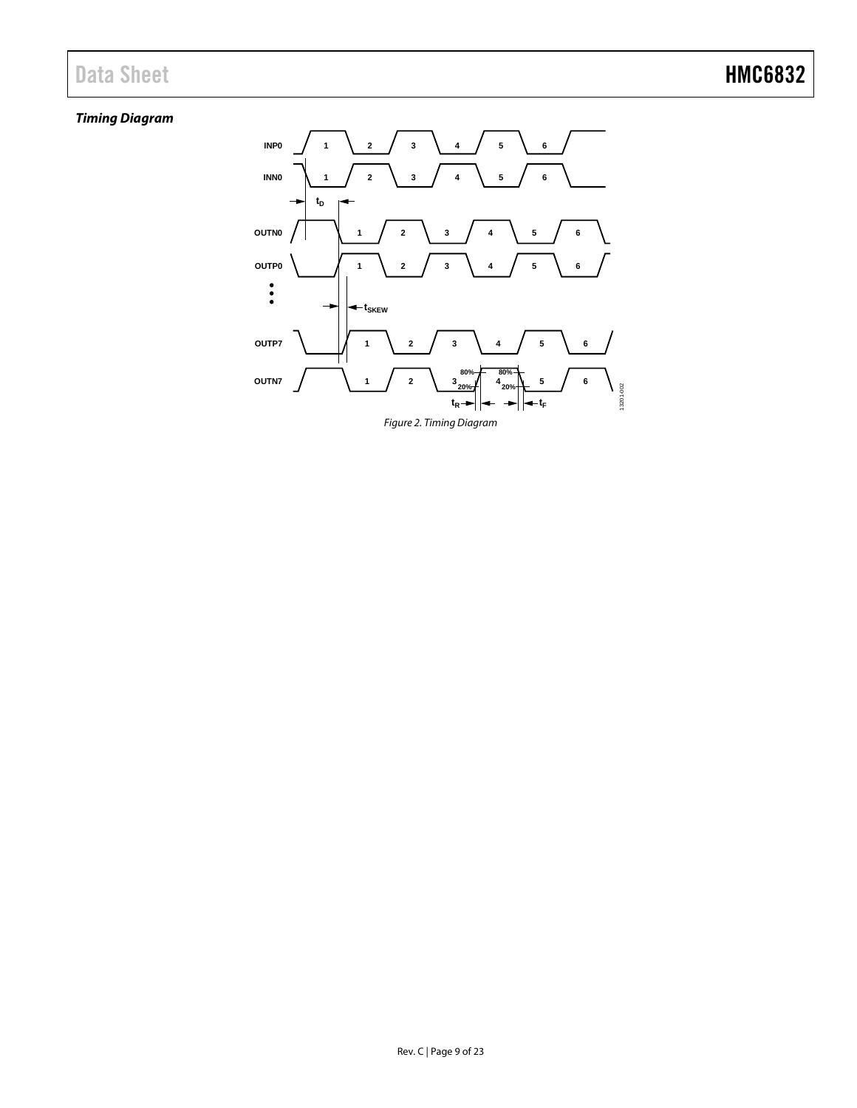## *Timing Diagram*

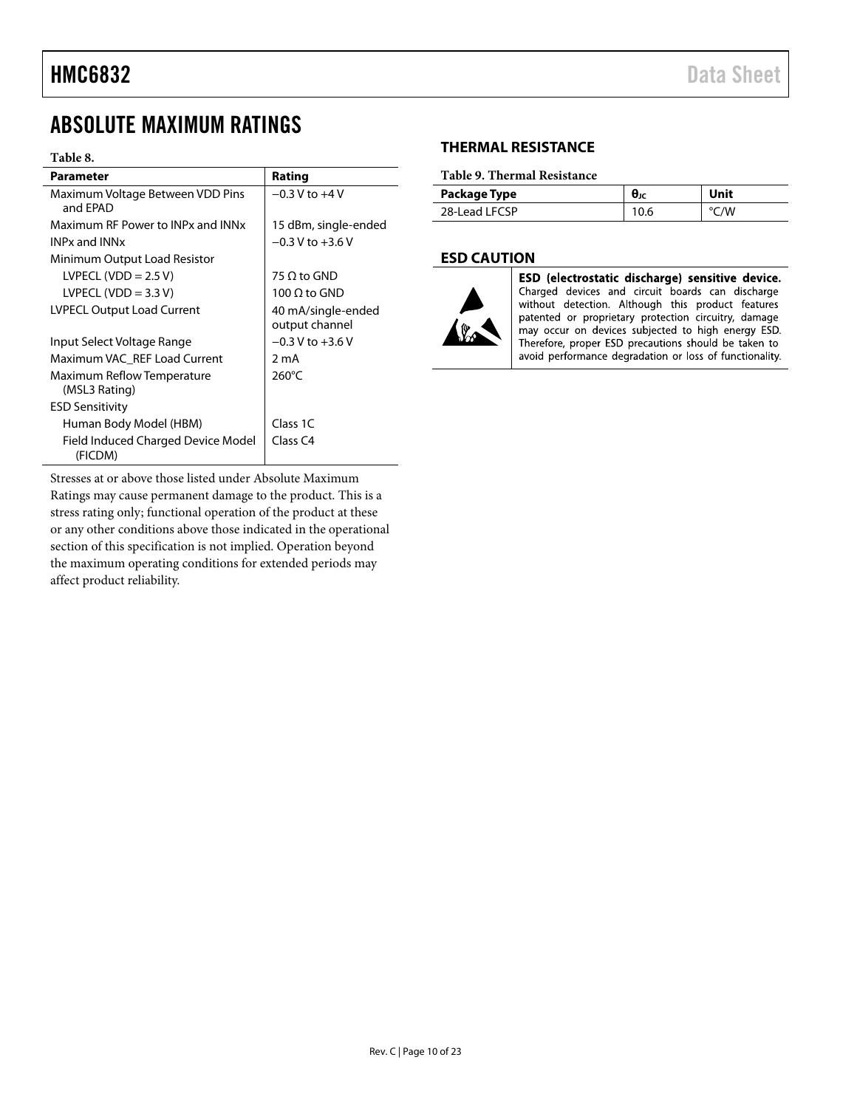# <span id="page-9-0"></span>ABSOLUTE MAXIMUM RATINGS

### <span id="page-9-3"></span>**Table 8.**

| <b>Parameter</b>                              | Rating                               |
|-----------------------------------------------|--------------------------------------|
| Maximum Voltage Between VDD Pins<br>and FPAD  | $-0.3$ V to $+4$ V                   |
| Maximum RF Power to INPx and INNx             | 15 dBm, single-ended                 |
| INPx and INNx                                 | $-0.3$ V to $+3.6$ V                 |
| Minimum Output Load Resistor                  |                                      |
| LVPECL (VDD = $2.5$ V)                        | $75$ O to GND                        |
| LVPECL (VDD = 3.3 V)                          | 100 $\Omega$ to GND                  |
| LVPECL Output Load Current                    | 40 mA/single-ended<br>output channel |
| Input Select Voltage Range                    | $-0.3$ V to $+3.6$ V                 |
| Maximum VAC REF Load Current                  | 2 mA                                 |
| Maximum Reflow Temperature<br>(MSL3 Rating)   | $260^{\circ}$ C                      |
| <b>ESD Sensitivity</b>                        |                                      |
| Human Body Model (HBM)                        | Class 1C                             |
| Field Induced Charged Device Model<br>(FICDM) | Class C4                             |

Stresses at or above those listed under Absolute Maximum Ratings may cause permanent damage to the product. This is a stress rating only; functional operation of the product at these or any other conditions above those indicated in the operational section of this specification is not implied. Operation beyond the maximum operating conditions for extended periods may affect product reliability.

### <span id="page-9-1"></span>**THERMAL RESISTANCE**

### **Table 9. Thermal Resistance**

| Package Type  | Unit |
|---------------|------|
| 28-Lead LECSP | °C/W |

### <span id="page-9-2"></span>**ESD CAUTION**



ESD (electrostatic discharge) sensitive device. Charged devices and circuit boards can discharge without detection. Although this product features patented or proprietary protection circuitry, damage may occur on devices subjected to high energy ESD. Therefore, proper ESD precautions should be taken to avoid performance degradation or loss of functionality.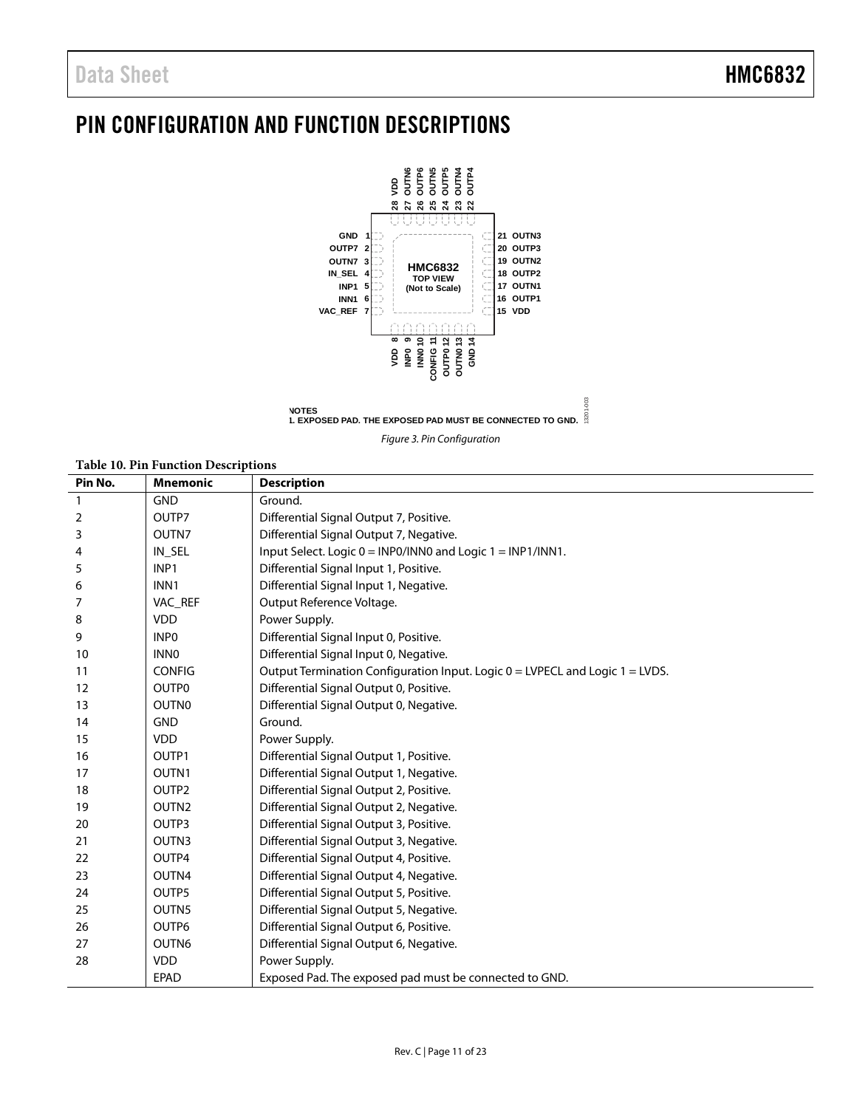# <span id="page-10-0"></span>PIN CONFIGURATION AND FUNCTION DESCRIPTIONS





13201-003

 $\frac{3}{2}$ 

*Figure 3. Pin Configuration*

### **Table 10. Pin Function Descriptions**

| Pin No.      | <b>Mnemonic</b>   | <b>Description</b>                                                                          |
|--------------|-------------------|---------------------------------------------------------------------------------------------|
| $\mathbf{1}$ | <b>GND</b>        | Ground.                                                                                     |
| 2            | OUTP7             | Differential Signal Output 7, Positive.                                                     |
| 3            | OUTN7             | Differential Signal Output 7, Negative.                                                     |
| 4            | IN SEL            | Input Select. Logic $0 = \text{INPO}/\text{INNO}$ and Logic $1 = \text{INP1}/\text{INN1}$ . |
| 5            | INP <sub>1</sub>  | Differential Signal Input 1, Positive.                                                      |
| 6            | INN <sub>1</sub>  | Differential Signal Input 1, Negative.                                                      |
| 7            | VAC_REF           | Output Reference Voltage.                                                                   |
| 8            | <b>VDD</b>        | Power Supply.                                                                               |
| 9            | <b>INPO</b>       | Differential Signal Input 0, Positive.                                                      |
| 10           | <b>INNO</b>       | Differential Signal Input 0, Negative.                                                      |
| 11           | <b>CONFIG</b>     | Output Termination Configuration Input. Logic 0 = LVPECL and Logic 1 = LVDS.                |
| 12           | OUTP0             | Differential Signal Output 0, Positive.                                                     |
| 13           | <b>OUTN0</b>      | Differential Signal Output 0, Negative.                                                     |
| 14           | <b>GND</b>        | Ground.                                                                                     |
| 15           | <b>VDD</b>        | Power Supply.                                                                               |
| 16           | OUTP1             | Differential Signal Output 1, Positive.                                                     |
| 17           | OUTN1             | Differential Signal Output 1, Negative.                                                     |
| 18           | OUTP <sub>2</sub> | Differential Signal Output 2, Positive.                                                     |
| 19           | OUTN <sub>2</sub> | Differential Signal Output 2, Negative.                                                     |
| 20           | OUTP3             | Differential Signal Output 3, Positive.                                                     |
| 21           | OUTN3             | Differential Signal Output 3, Negative.                                                     |
| 22           | OUTP4             | Differential Signal Output 4, Positive.                                                     |
| 23           | OUTN4             | Differential Signal Output 4, Negative.                                                     |
| 24           | OUTP5             | Differential Signal Output 5, Positive.                                                     |
| 25           | OUTN <sub>5</sub> | Differential Signal Output 5, Negative.                                                     |
| 26           | OUTP6             | Differential Signal Output 6, Positive.                                                     |
| 27           | OUTN6             | Differential Signal Output 6, Negative.                                                     |
| 28           | <b>VDD</b>        | Power Supply.                                                                               |
|              | <b>EPAD</b>       | Exposed Pad. The exposed pad must be connected to GND.                                      |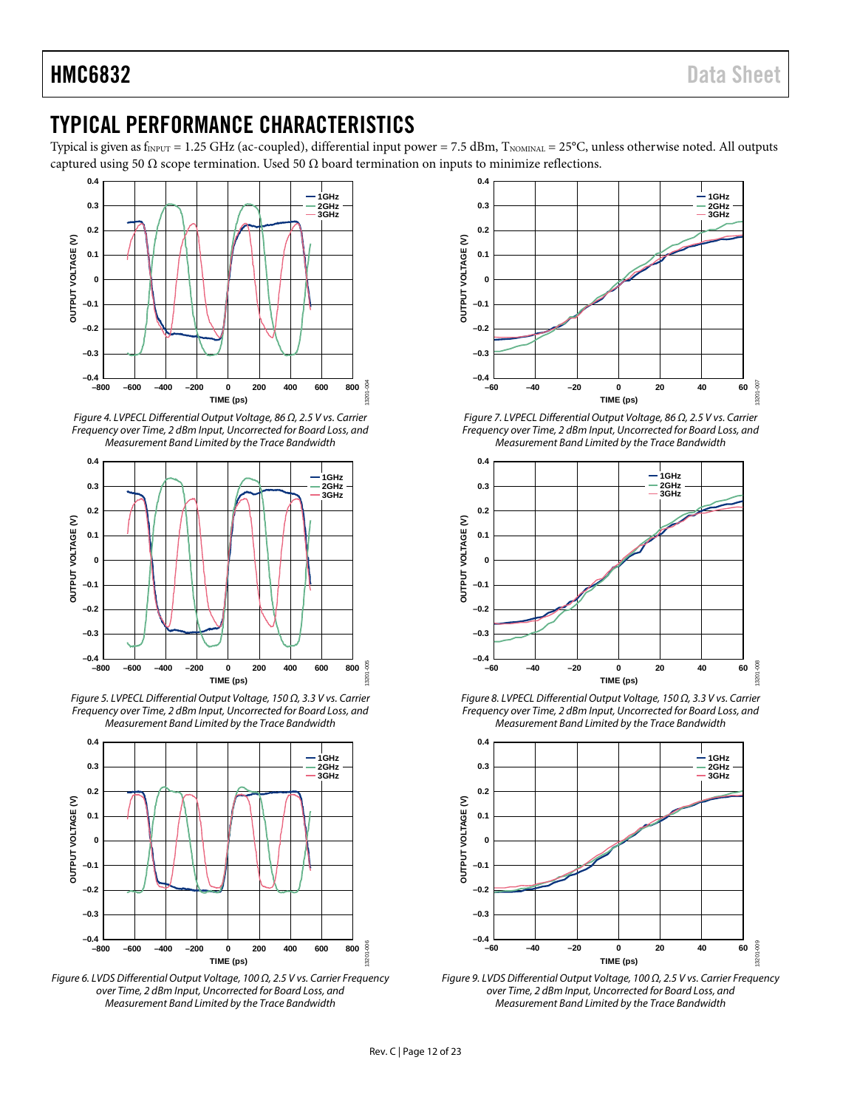## **[HMC6832](http://www.analog.com/HMC6832?doc=HMC6832.pdf)** Data Sheet

## <span id="page-11-0"></span>TYPICAL PERFORMANCE CHARACTERISTICS

Typical is given as  $f_{INPUT} = 1.25$  GHz (ac-coupled), differential input power = 7.5 dBm,  $T_{NOMINAL} = 25$ °C, unless otherwise noted. All outputs captured using 50 Ω scope termination. Used 50  $Ω$  board termination on inputs to minimize reflections.







*Figure 5. LVPECL Differential Output Voltage, 150 Ω, 3.3 V vs. Carrier Frequency over Time, 2 dBm Input, Uncorrected for Board Loss, and Measurement Band Limited by the Trace Bandwidth*



*Figure 6. LVDS Differential Output Voltage, 100 Ω, 2.5 V vs. Carrier Frequency over Time, 2 dBm Input, Uncorrected for Board Loss, and Measurement Band Limited by the Trace Bandwidth*



*Figure 7. LVPECL Differential Output Voltage, 86 Ω, 2.5 V vs. Carrier Frequency over Time, 2 dBm Input, Uncorrected for Board Loss, and Measurement Band Limited by the Trace Bandwidth*



*Figure 8. LVPECL Differential Output Voltage, 150 Ω, 3.3 V vs. Carrier Frequency over Time, 2 dBm Input, Uncorrected for Board Loss, and Measurement Band Limited by the Trace Bandwidth*



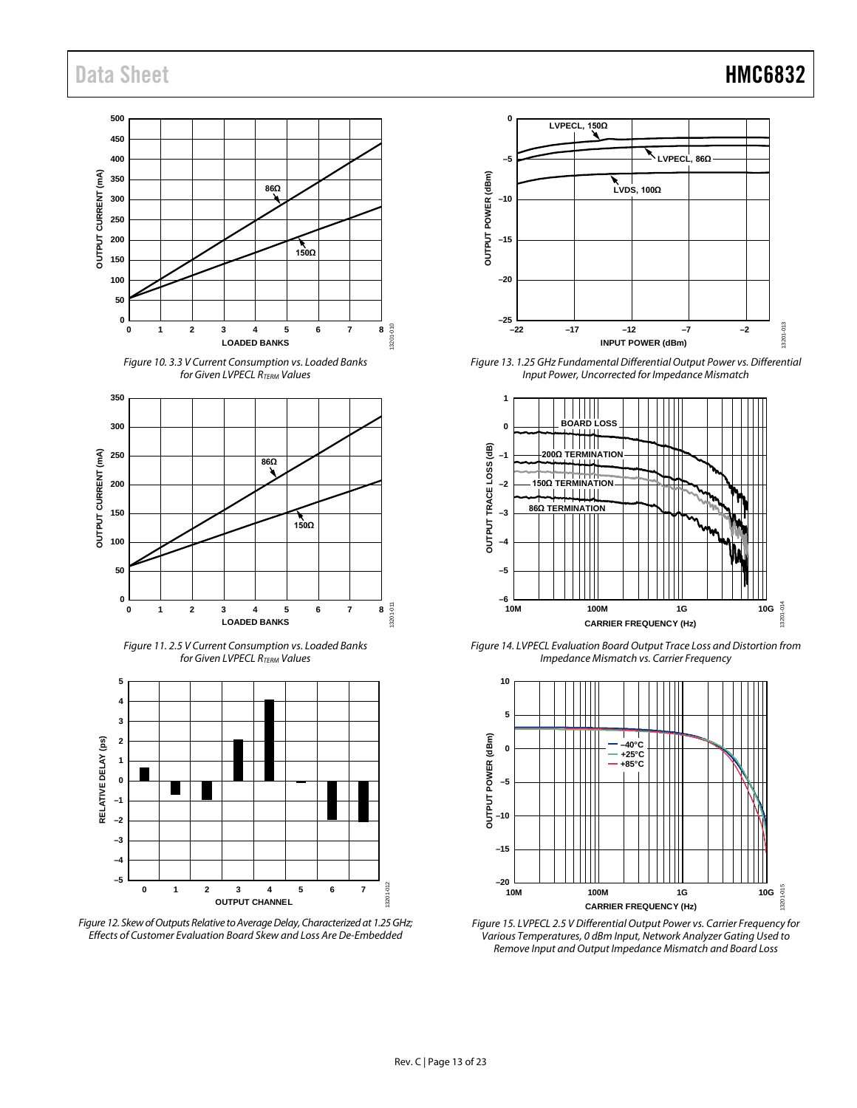





*Figure 11. 2.5 V Current Consumption vs. Loaded Banks for Given LVPECL RTERM Values*







*Figure 13. 1.25 GHz Fundamental Differential Output Power vs. Differential Input Power, Uncorrected for Impedance Mismatch*



*Figure 14. LVPECL Evaluation Board Output Trace Loss and Distortion from Impedance Mismatch vs. Carrier Frequency*



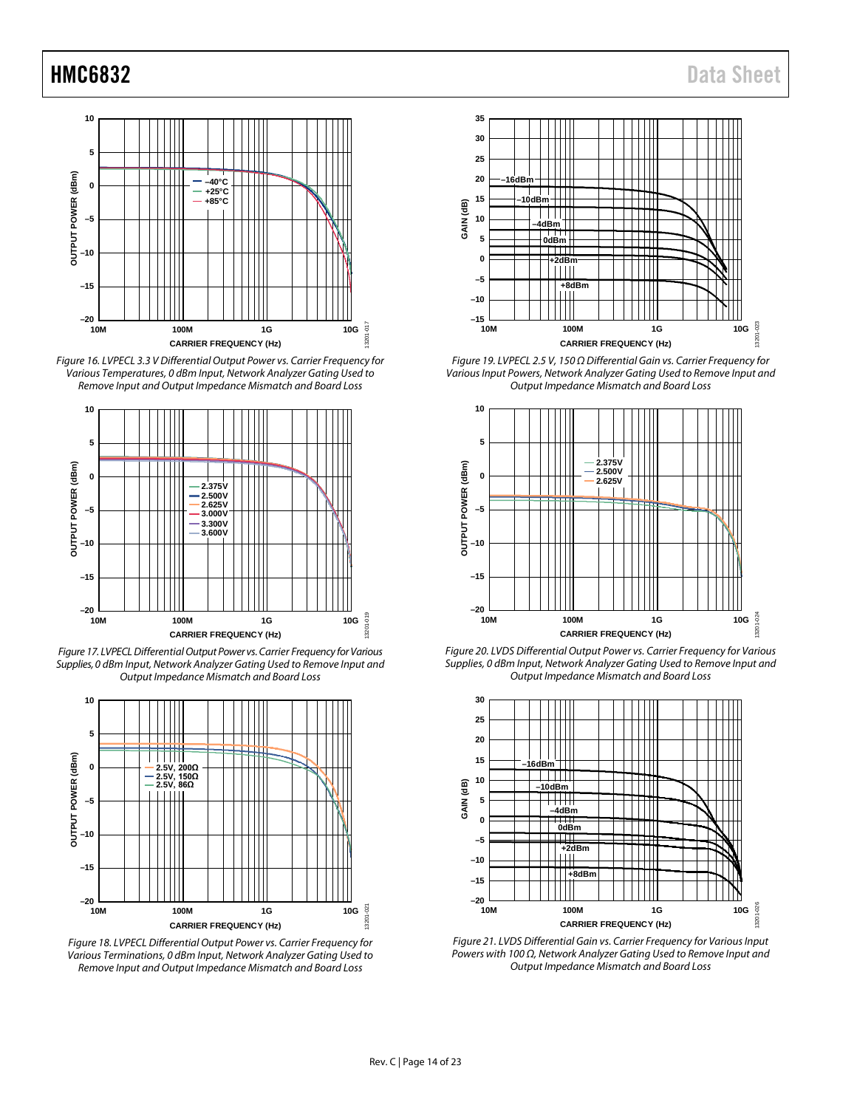

*Figure 16. LVPECL 3.3 V Differential Output Power vs. Carrier Frequency for Various Temperatures, 0 dBm Input, Network Analyzer Gating Used to Remove Input and Output Impedance Mismatch and Board Loss*



*Figure 17. LVPECL DifferentialOutput Power vs. Carrier Frequency for Various Supplies, 0 dBm Input, Network Analyzer Gating Used to Remove Input and Output Impedance Mismatch and Board Loss*



*Figure 18. LVPECL Differential Output Power vs. Carrier Frequency for Various Terminations, 0 dBm Input, Network Analyzer Gating Used to Remove Input and Output Impedance Mismatch and Board Loss*



<span id="page-13-0"></span>*Figure 19. LVPECL 2.5 V, 150 Ω Differential Gain vs. Carrier Frequency for*  Various Input Powers, Network Analyzer Gating Used to Remove Input and *Output Impedance Mismatch and Board Loss*



*Figure 20. LVDS Differential Output Power vs. Carrier Frequency for Various Supplies, 0 dBm Input, Network Analyzer Gating Used to Remove Input and Output Impedance Mismatch and Board Loss*



<span id="page-13-1"></span>*Figure 21. LVDS Differential Gain vs. Carrier Frequency for Various Input Powers with 100 Ω, Network Analyzer Gating Used to Remove Input and Output Impedance Mismatch and Board Loss*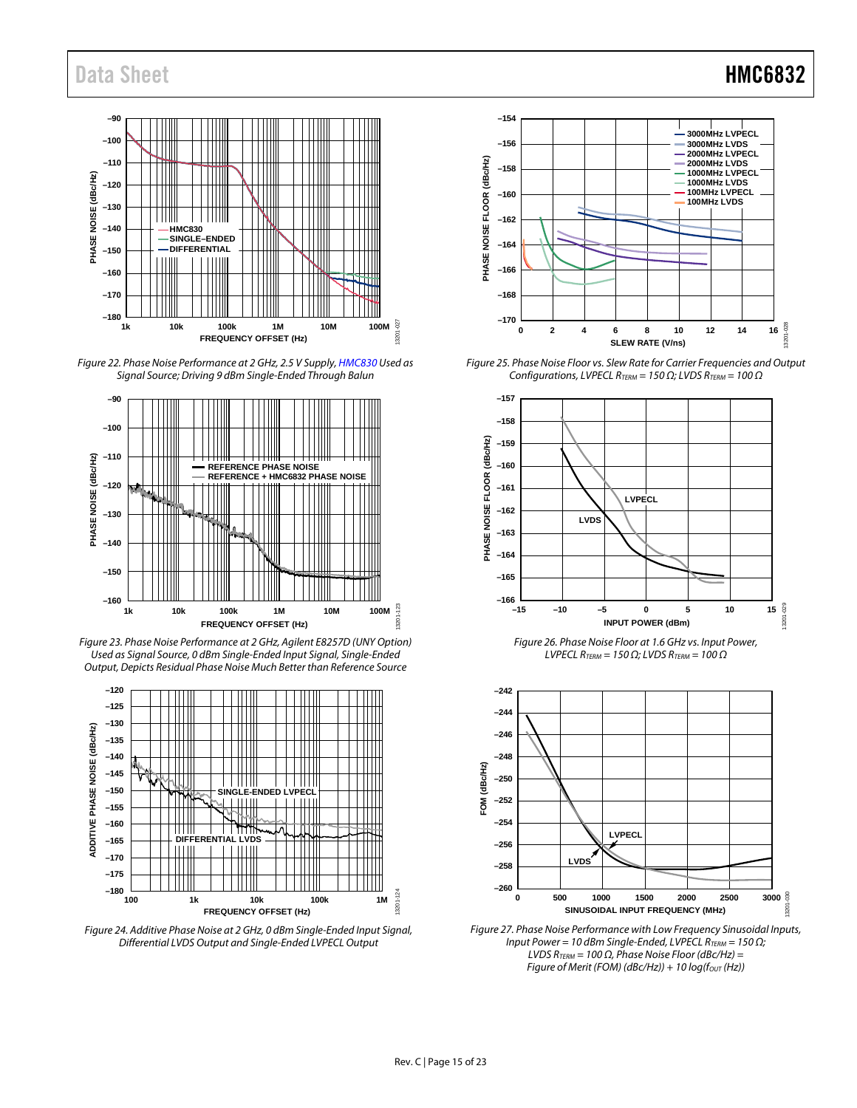

*Figure 22. Phase Noise Performance at 2 GHz, 2.5 V Supply, [HMC830](http://www.analog.com/HMC830?doc=HMC6832.pdf) Used as Signal Source; Driving 9 dBm Single-Ended Through Balun*



*Figure 23. Phase Noise Performance at 2 GHz, Agilent E8257D (UNY Option) Used as Signal Source, 0 dBm Single-Ended Input Signal, Single-Ended Output, Depicts Residual Phase Noise Much Better than Reference Source*



*Figure 24. Additive Phase Noise at 2 GHz, 0 dBm Single-Ended Input Signal, Differential LVDS Output and Single-Ended LVPECL Output* 



*Figure 25. Phase Noise Floor vs. Slew Rate for Carrier Frequencies and Output Configurations, LVPECL RTERM = 150 Ω; LVDS RTERM = 100 Ω*



*Figure 26. Phase Noise Floor at 1.6 GHz vs. Input Power, LVPECL RTERM = 150 Ω; LVDS RTERM = 100 Ω*



*Figure 27. Phase Noise Performance with Low Frequency Sinusoidal Inputs, Input Power = 10 dBm Single-Ended, LVPECL R<sub>TERM</sub> = 150 Ω; LVDS RTERM = 100 Ω, Phase Noise Floor (dBc/Hz) = Figure of Merit (FOM) (dBc/Hz))* + 10  $log(f_{OUT}$  (Hz))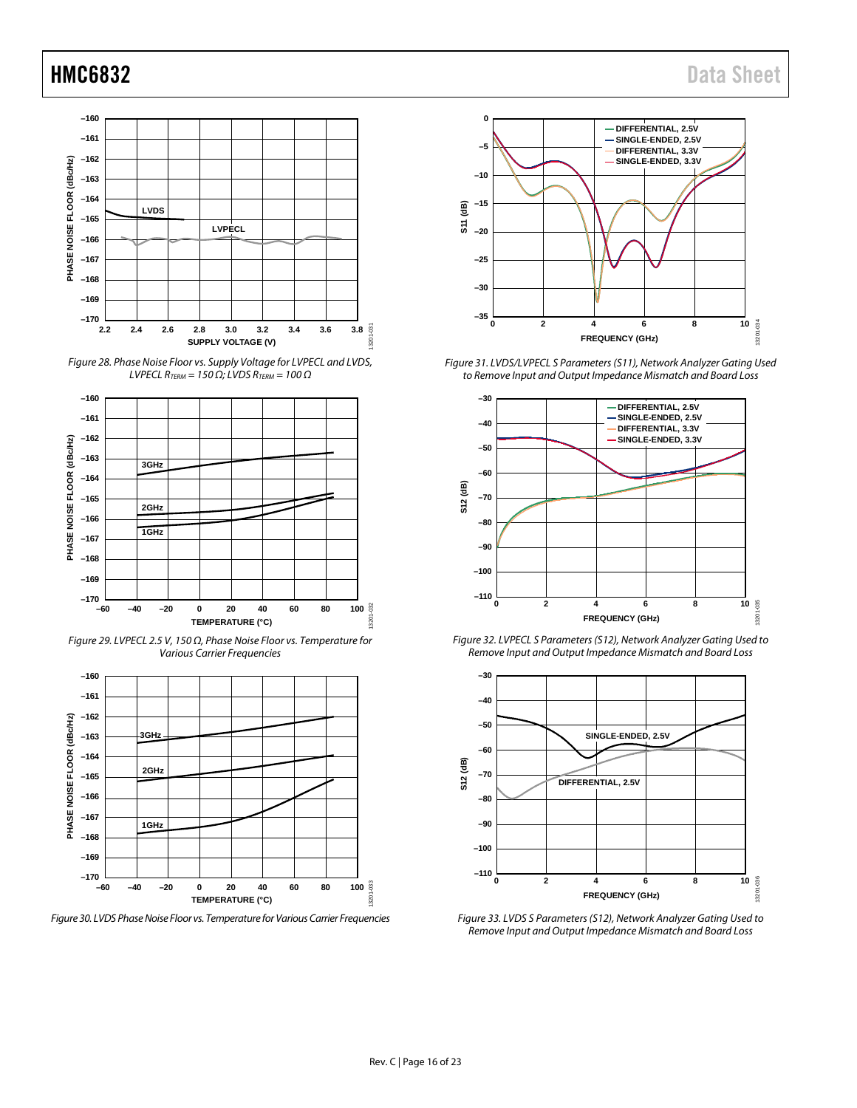

*Figure 28. Phase Noise Floor vs. Supply Voltage for LVPECL and LVDS, LVPECL RTERM = 150 Ω; LVDS RTERM = 100 Ω*



*Figure 29. LVPECL 2.5 V, 150 Ω, Phase Noise Floor vs. Temperature for Various Carrier Frequencies*



*Figure 30. LVDS Phase Noise Floor vs. Temperature for Various Carrier Frequencies*



*Figure 31. LVDS/LVPECL S Parameters (S11), Network Analyzer Gating Used to Remove Input and Output Impedance Mismatch and Board Loss*



*Figure 32. LVPECL S Parameters (S12), Network Analyzer Gating Used to Remove Input and Output Impedance Mismatch and Board Loss*



*Figure 33. LVDS S Parameters (S12), Network Analyzer Gating Used to Remove Input and Output Impedance Mismatch and Board Loss*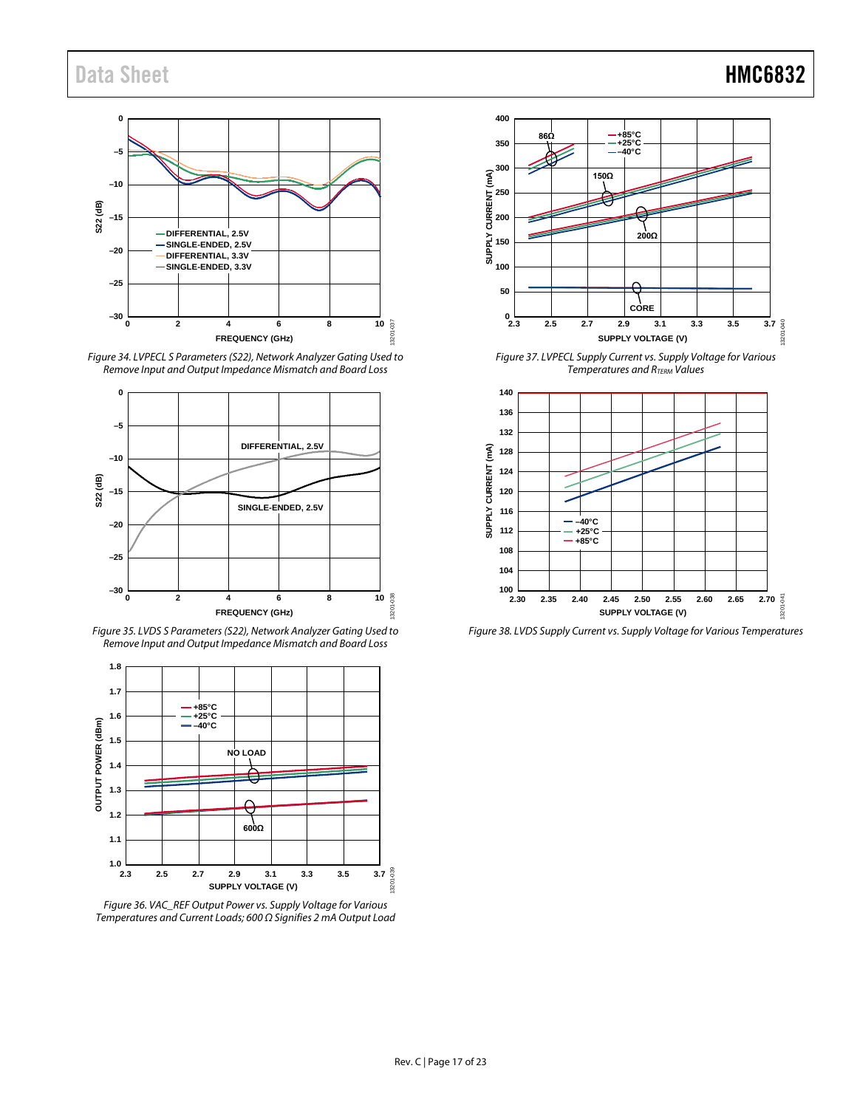### **0 –5 –10 S22 (dB) –15 DIFFERENTIAL, 2.5V SINGLE-ENDED, 2.5V –20 DIFFERENTIAL, 3.3V SINGLE-ENDED, 3.3V –25**  $-30<sub>0</sub>$  $-037$ **0 2 4 6 8 10** 13201-037 13201-**FREQUENCY (GHz)**

*Figure 34. LVPECL S Parameters (S22), Network Analyzer Gating Used to Remove Input and Output Impedance Mismatch and Board Loss*



*Figure 35. LVDS S Parameters (S22), Network Analyzer Gating Used to Remove Input and Output Impedance Mismatch and Board Loss*



*Figure 36. VAC\_REF Output Power vs. Supply Voltage for Various Temperatures and Current Loads; 600 Ω Signifies 2 mA Output Load*



*Figure 37. LVPECL Supply Current vs. Supply Voltage for Various Temperatures and RTERM Values*



*Figure 38. LVDS Supply Current vs. Supply Voltage for Various Temperatures*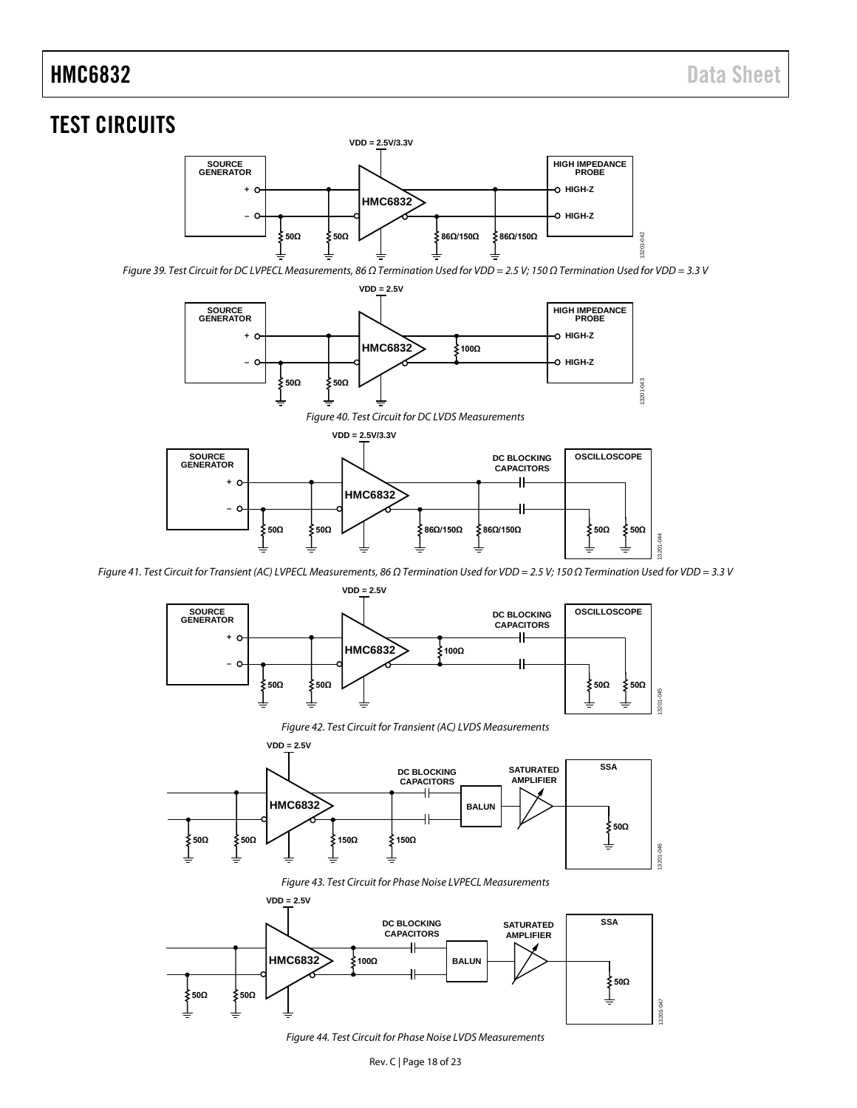# <span id="page-17-0"></span>TEST CIRCUITS



<span id="page-17-3"></span>*Figure 39. Test Circuit for DC LVPECL Measurements, 86 Ω Termination Used for VDD = 2.5 V; 150 Ω Termination Used for VDD = 3.3 V*



*Figure 40. Test Circuit for DC LVDS Measurements*

<span id="page-17-4"></span>

<span id="page-17-1"></span>*Figure 41. Test Circuit for Transient (AC) LVPECL Measurements, 86 Ω Termination Used for VDD = 2.5 V; 150 Ω Termination Used for VDD = 3.3 V*



*Figure 42. Test Circuit for Transient (AC) LVDS Measurements*

<span id="page-17-2"></span>

*Figure 43. Test Circuit for Phase Noise LVPECL Measurements*

<span id="page-17-6"></span><span id="page-17-5"></span>

*Figure 44. Test Circuit for Phase Noise LVDS Measurements*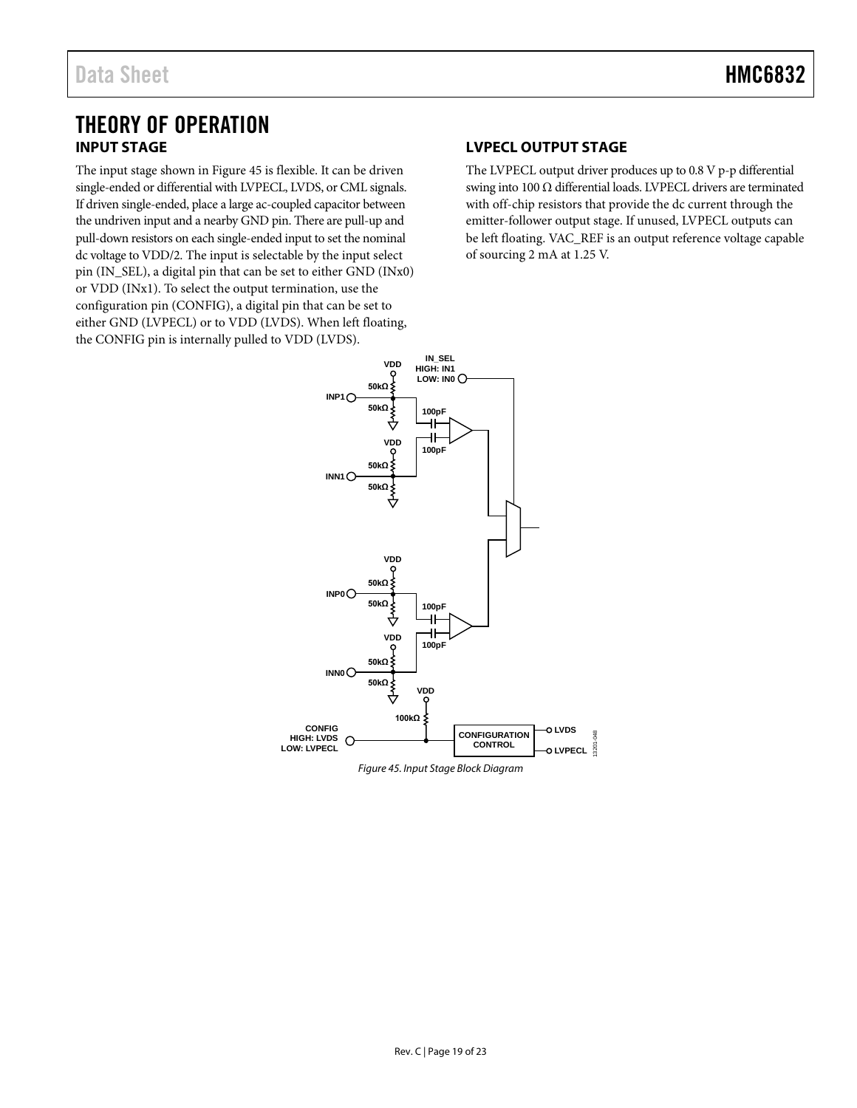## <span id="page-18-0"></span>THEORY OF OPERATION **INPUT STAGE**

<span id="page-18-1"></span>The input stage shown in [Figure 45](#page-18-3) is flexible. It can be driven single-ended or differential with LVPECL, LVDS, or CML signals. If driven single-ended, place a large ac-coupled capacitor between the undriven input and a nearby GND pin. There are pull-up and pull-down resistors on each single-ended input to set the nominal dc voltage to VDD/2. The input is selectable by the input select pin (IN\_SEL), a digital pin that can be set to either GND (INx0) or VDD (INx1). To select the output termination, use the configuration pin (CONFIG), a digital pin that can be set to either GND (LVPECL) or to VDD (LVDS). When left floating, the CONFIG pin is internally pulled to VDD (LVDS).

## <span id="page-18-2"></span>**LVPECL OUTPUT STAGE**

The LVPECL output driver produces up to 0.8 V p-p differential swing into 100  $\Omega$  differential loads. LVPECL drivers are terminated with off-chip resistors that provide the dc current through the emitter-follower output stage. If unused, LVPECL outputs can be left floating. VAC\_REF is an output reference voltage capable of sourcing 2 mA at 1.25 V.



<span id="page-18-3"></span>*Figure 45. Input Stage Block Diagram*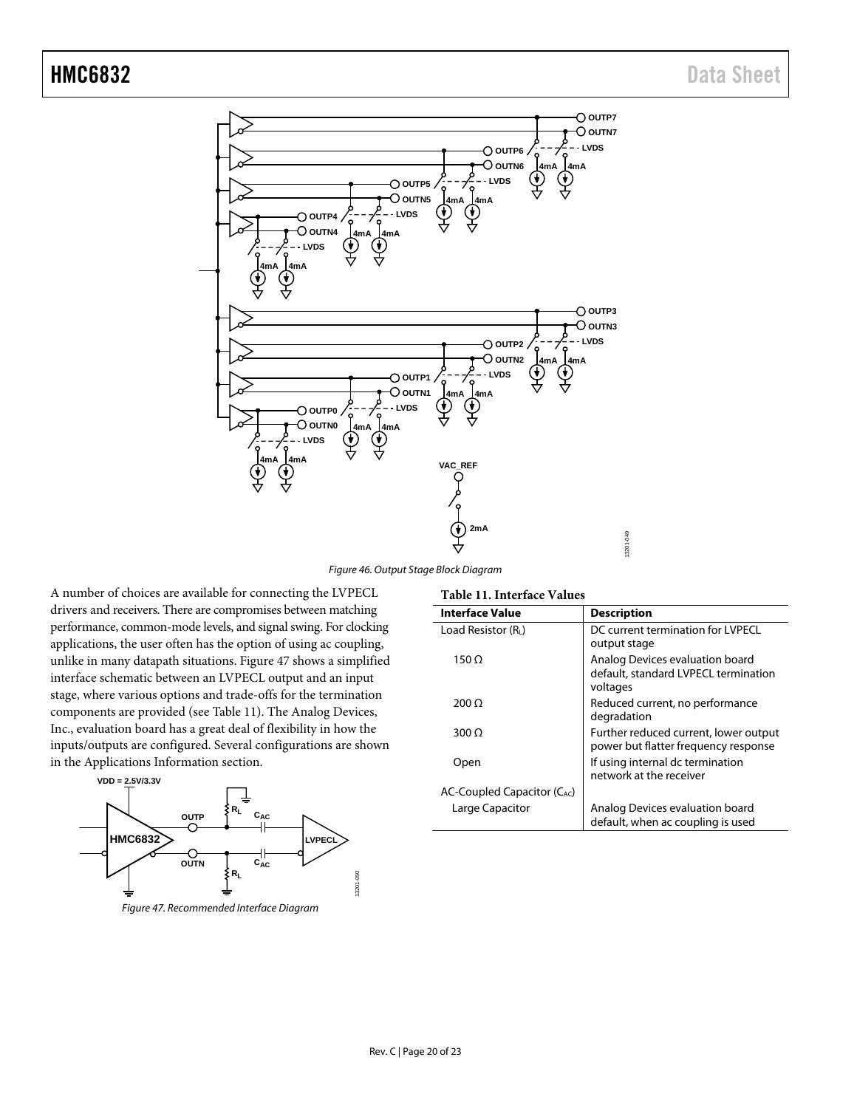

*Figure 46. Output Stage Block Diagram*

A number of choices are available for connecting the LVPECL drivers and receivers. There are compromises between matching performance, common-mode levels, and signal swing. For clocking applications, the user often has the option of using ac coupling, unlike in many datapath situations[. Figure 47](#page-19-0) shows a simplified interface schematic between an LVPECL output and an input stage, where various options and trade-offs for the termination components are provided (see [Table 11\)](#page-19-1). The Analog Devices, Inc., evaluation board has a great deal of flexibility in how the inputs/outputs are configured. Several configurations are shown in the [Applications Information](#page-20-0) section.



<span id="page-19-0"></span>*Figure 47. Recommended Interface Diagram*

<span id="page-19-1"></span>

| Table 11. Interface Values              |                                                                                     |  |  |  |
|-----------------------------------------|-------------------------------------------------------------------------------------|--|--|--|
| Interface Value                         | <b>Description</b>                                                                  |  |  |  |
| Load Resistor $(RL)$                    | DC current termination for LVPECL                                                   |  |  |  |
|                                         | output stage                                                                        |  |  |  |
| 150 O                                   | Analog Devices evaluation board<br>default, standard LVPECL termination<br>voltages |  |  |  |
| 200 O                                   | Reduced current, no performance<br>degradation                                      |  |  |  |
| 300 $\Omega$                            | Further reduced current, lower output<br>power but flatter frequency response       |  |  |  |
| Open                                    | If using internal dc termination<br>network at the receiver                         |  |  |  |
| AC-Coupled Capacitor (C <sub>AC</sub> ) |                                                                                     |  |  |  |
| Large Capacitor                         | Analog Devices evaluation board<br>default, when ac coupling is used                |  |  |  |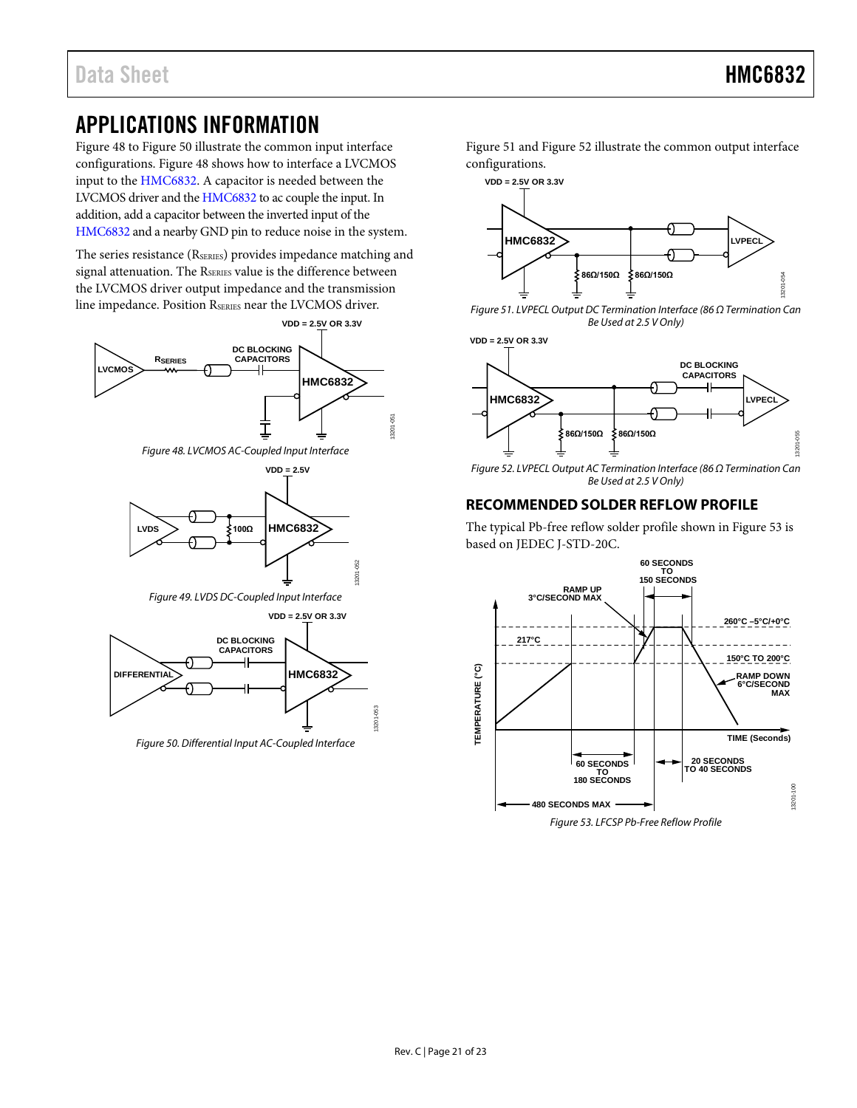# <span id="page-20-0"></span>APPLICATIONS INFORMATION

[Figure 48](#page-20-2) t[o Figure 50](#page-20-3) illustrate the common input interface configurations. [Figure 48](#page-20-2) shows how to interface a LVCMOS input to th[e HMC6832.](http://www.analog.com/HMC6832?doc=HMC6832.pdf) A capacitor is needed between the LVCMOS driver and the [HMC6832](http://www.analog.com/HMC6832?doc=HMC6832.pdf) to ac couple the input. In addition, add a capacitor between the inverted input of the [HMC6832](http://www.analog.com/HMC6832?doc=HMC6832.pdf) and a nearby GND pin to reduce noise in the system.

The series resistance (RSERIES) provides impedance matching and signal attenuation. The R<sub>SERIES</sub> value is the difference between the LVCMOS driver output impedance and the transmission line impedance. Position RSERIES near the LVCMOS driver.



*Figure 48. LVCMOS AC-Coupled Input Interface*

<span id="page-20-2"></span>

*Figure 49. LVDS DC-Coupled Input Interface*

13201-052

<span id="page-20-6"></span>13201-053



<span id="page-20-3"></span>*Figure 50. Differential Input AC-Coupled Interface*

[Figure 51](#page-20-4) and [Figure 52](#page-20-5) illustrate the common output interface configurations.



<span id="page-20-4"></span>*Figure 51. LVPECL Output DC Termination Interface (86 Ω Termination Can Be Used at 2.5 V Only)*



<span id="page-20-5"></span>*Figure 52. LVPECL Output AC Termination Interface (86 Ω Termination Can Be Used at 2.5 V Only)*

## <span id="page-20-1"></span>**RECOMMENDED SOLDER REFLOW PROFILE**

The typical Pb-free reflow solder profile shown i[n Figure 53](#page-20-6) is based on JEDEC J-STD-20C.

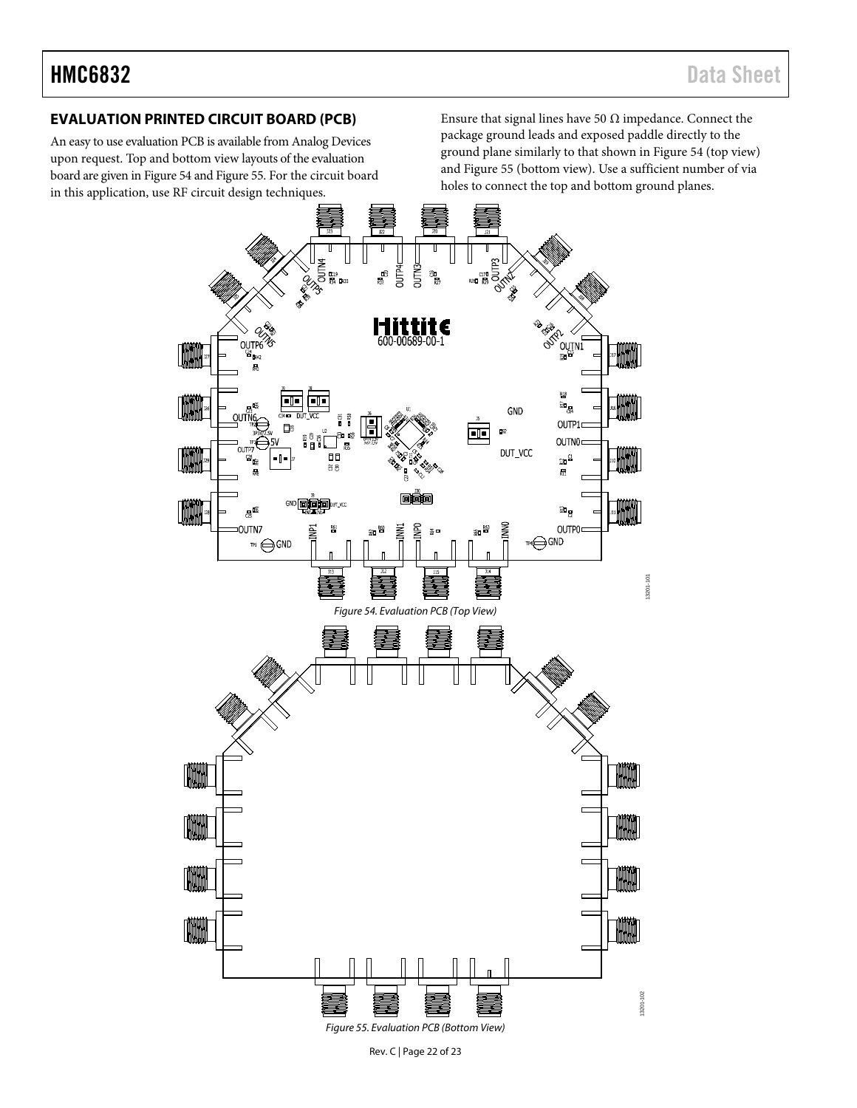## <span id="page-21-0"></span>**EVALUATION PRINTED CIRCUIT BOARD (PCB)**

An easy to use evaluation PCB is available from Analog Devices upon request. Top and bottom view layouts of the evaluation board are given i[n Figure 54](#page-21-1) an[d Figure 55.](#page-21-2) For the circuit board in this application, use RF circuit design techniques.

Ensure that signal lines have 50  $\Omega$  impedance. Connect the package ground leads and exposed paddle directly to the ground plane similarly to that shown in [Figure 54](#page-21-1) (top view) an[d Figure 55](#page-21-2) (bottom view). Use a sufficient number of via holes to connect the top and bottom ground planes.

<span id="page-21-2"></span><span id="page-21-1"></span>